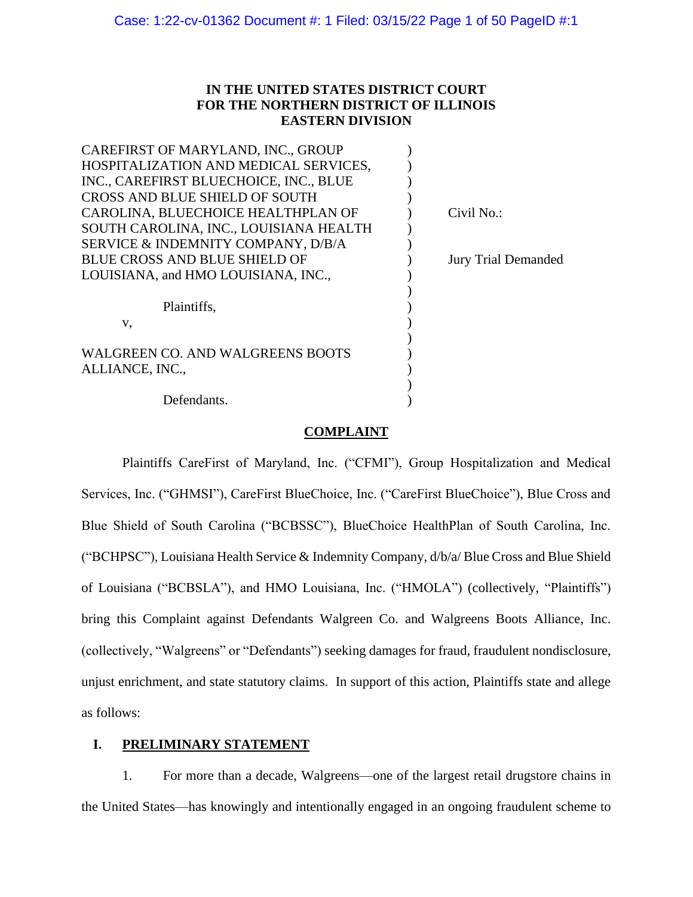# **IN THE UNITED STATES DISTRICT COURT FOR THE NORTHERN DISTRICT OF ILLINOIS EASTERN DIVISION**

| CAREFIRST OF MARYLAND, INC., GROUP      |                            |
|-----------------------------------------|----------------------------|
| HOSPITALIZATION AND MEDICAL SERVICES,   |                            |
| INC., CAREFIRST BLUECHOICE, INC., BLUE  |                            |
| CROSS AND BLUE SHIELD OF SOUTH          |                            |
| CAROLINA, BLUECHOICE HEALTHPLAN OF      | Civil No.:                 |
| SOUTH CAROLINA, INC., LOUISIANA HEALTH  |                            |
| SERVICE & INDEMNITY COMPANY, D/B/A      |                            |
| <b>BLUE CROSS AND BLUE SHIELD OF</b>    | <b>Jury Trial Demanded</b> |
| LOUISIANA, and HMO LOUISIANA, INC.,     |                            |
|                                         |                            |
| Plaintiffs,                             |                            |
| v,                                      |                            |
|                                         |                            |
| <b>WALGREEN CO. AND WALGREENS BOOTS</b> |                            |
| ALLIANCE, INC.,                         |                            |
|                                         |                            |
| Defendants.                             |                            |

## **COMPLAINT**

Plaintiffs CareFirst of Maryland, Inc. ("CFMI"), Group Hospitalization and Medical Services, Inc. ("GHMSI"), CareFirst BlueChoice, Inc. ("CareFirst BlueChoice"), Blue Cross and Blue Shield of South Carolina ("BCBSSC"), BlueChoice HealthPlan of South Carolina, Inc. ("BCHPSC"), Louisiana Health Service & Indemnity Company, d/b/a/ Blue Cross and Blue Shield of Louisiana ("BCBSLA"), and HMO Louisiana, Inc. ("HMOLA") (collectively, "Plaintiffs") bring this Complaint against Defendants Walgreen Co. and Walgreens Boots Alliance, Inc. (collectively, "Walgreens" or "Defendants") seeking damages for fraud, fraudulent nondisclosure, unjust enrichment, and state statutory claims. In support of this action, Plaintiffs state and allege as follows:

## **I. PRELIMINARY STATEMENT**

1. For more than a decade, Walgreens—one of the largest retail drugstore chains in the United States—has knowingly and intentionally engaged in an ongoing fraudulent scheme to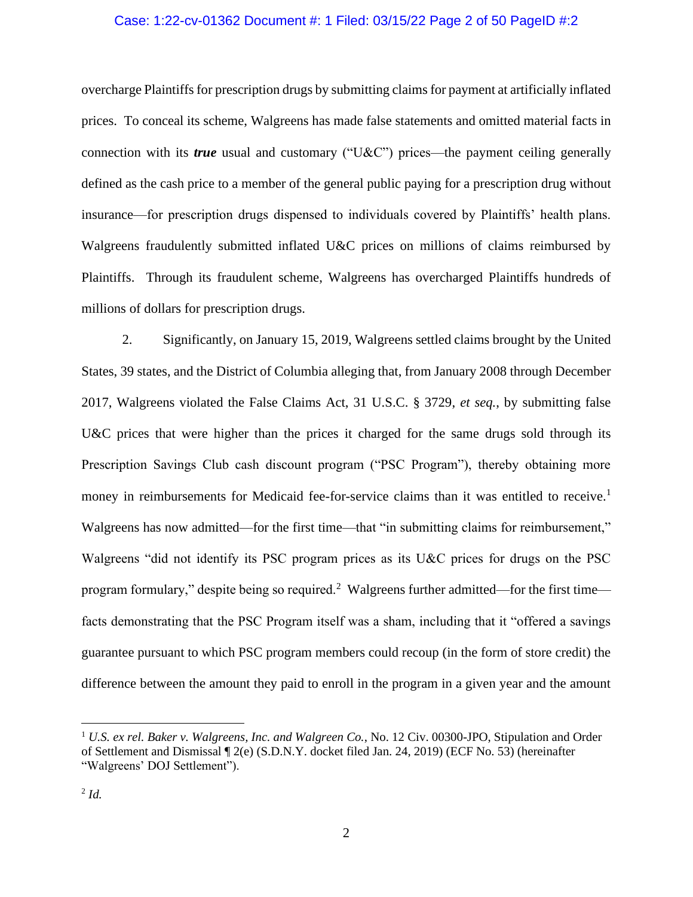### Case: 1:22-cv-01362 Document #: 1 Filed: 03/15/22 Page 2 of 50 PageID #:2

overcharge Plaintiffs for prescription drugs by submitting claims for payment at artificially inflated prices. To conceal its scheme, Walgreens has made false statements and omitted material facts in connection with its *true* usual and customary ("U&C") prices—the payment ceiling generally defined as the cash price to a member of the general public paying for a prescription drug without insurance—for prescription drugs dispensed to individuals covered by Plaintiffs' health plans. Walgreens fraudulently submitted inflated U&C prices on millions of claims reimbursed by Plaintiffs. Through its fraudulent scheme, Walgreens has overcharged Plaintiffs hundreds of millions of dollars for prescription drugs.

2. Significantly, on January 15, 2019, Walgreens settled claims brought by the United States, 39 states, and the District of Columbia alleging that, from January 2008 through December 2017, Walgreens violated the False Claims Act, 31 U.S.C. § 3729, *et seq.*, by submitting false U&C prices that were higher than the prices it charged for the same drugs sold through its Prescription Savings Club cash discount program ("PSC Program"), thereby obtaining more money in reimbursements for Medicaid fee-for-service claims than it was entitled to receive.<sup>1</sup> Walgreens has now admitted—for the first time—that "in submitting claims for reimbursement," Walgreens "did not identify its PSC program prices as its U&C prices for drugs on the PSC program formulary," despite being so required.<sup>2</sup> Walgreens further admitted—for the first time facts demonstrating that the PSC Program itself was a sham, including that it "offered a savings guarantee pursuant to which PSC program members could recoup (in the form of store credit) the difference between the amount they paid to enroll in the program in a given year and the amount

<sup>1</sup> *U.S. ex rel. Baker v. Walgreens, Inc. and Walgreen Co.*, No. 12 Civ. 00300-JPO, Stipulation and Order of Settlement and Dismissal ¶ 2(e) (S.D.N.Y. docket filed Jan. 24, 2019) (ECF No. 53) (hereinafter "Walgreens' DOJ Settlement").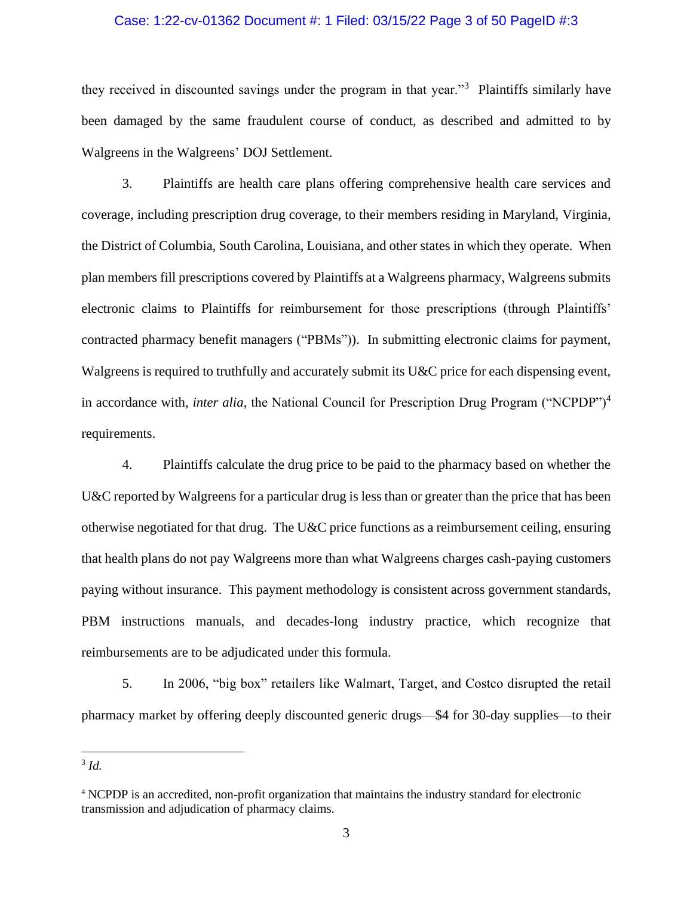### Case: 1:22-cv-01362 Document #: 1 Filed: 03/15/22 Page 3 of 50 PageID #:3

they received in discounted savings under the program in that year."<sup>3</sup> Plaintiffs similarly have been damaged by the same fraudulent course of conduct, as described and admitted to by Walgreens in the Walgreens' DOJ Settlement.

3. Plaintiffs are health care plans offering comprehensive health care services and coverage, including prescription drug coverage, to their members residing in Maryland, Virginia, the District of Columbia, South Carolina, Louisiana, and other states in which they operate. When plan members fill prescriptions covered by Plaintiffs at a Walgreens pharmacy, Walgreens submits electronic claims to Plaintiffs for reimbursement for those prescriptions (through Plaintiffs' contracted pharmacy benefit managers ("PBMs")). In submitting electronic claims for payment, Walgreens is required to truthfully and accurately submit its U&C price for each dispensing event, in accordance with, *inter alia*, the National Council for Prescription Drug Program ("NCPDP")<sup>4</sup> requirements.

4. Plaintiffs calculate the drug price to be paid to the pharmacy based on whether the U&C reported by Walgreens for a particular drug is less than or greater than the price that has been otherwise negotiated for that drug. The U&C price functions as a reimbursement ceiling, ensuring that health plans do not pay Walgreens more than what Walgreens charges cash-paying customers paying without insurance. This payment methodology is consistent across government standards, PBM instructions manuals, and decades-long industry practice, which recognize that reimbursements are to be adjudicated under this formula.

5. In 2006, "big box" retailers like Walmart, Target, and Costco disrupted the retail pharmacy market by offering deeply discounted generic drugs—\$4 for 30-day supplies—to their

<sup>3</sup> *Id.* 

<sup>4</sup> NCPDP is an accredited, non-profit organization that maintains the industry standard for electronic transmission and adjudication of pharmacy claims.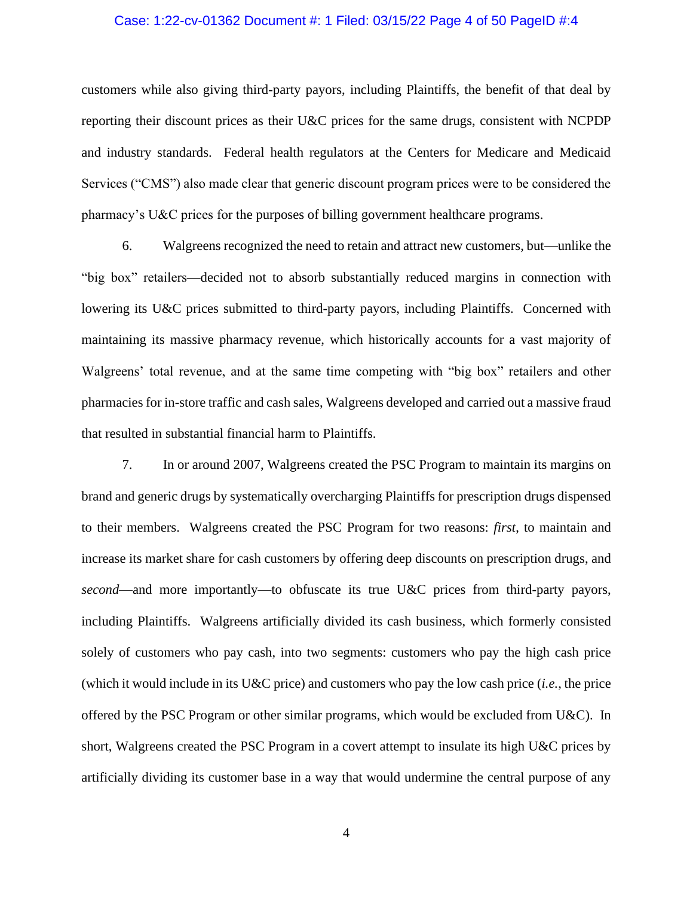### Case: 1:22-cv-01362 Document #: 1 Filed: 03/15/22 Page 4 of 50 PageID #:4

customers while also giving third-party payors, including Plaintiffs, the benefit of that deal by reporting their discount prices as their U&C prices for the same drugs, consistent with NCPDP and industry standards. Federal health regulators at the Centers for Medicare and Medicaid Services ("CMS") also made clear that generic discount program prices were to be considered the pharmacy's U&C prices for the purposes of billing government healthcare programs.

6. Walgreens recognized the need to retain and attract new customers, but—unlike the "big box" retailers—decided not to absorb substantially reduced margins in connection with lowering its U&C prices submitted to third-party payors, including Plaintiffs. Concerned with maintaining its massive pharmacy revenue, which historically accounts for a vast majority of Walgreens' total revenue, and at the same time competing with "big box" retailers and other pharmacies for in-store traffic and cash sales, Walgreens developed and carried out a massive fraud that resulted in substantial financial harm to Plaintiffs.

7. In or around 2007, Walgreens created the PSC Program to maintain its margins on brand and generic drugs by systematically overcharging Plaintiffs for prescription drugs dispensed to their members. Walgreens created the PSC Program for two reasons: *first*, to maintain and increase its market share for cash customers by offering deep discounts on prescription drugs, and *second*—and more importantly—to obfuscate its true U&C prices from third-party payors, including Plaintiffs. Walgreens artificially divided its cash business, which formerly consisted solely of customers who pay cash, into two segments: customers who pay the high cash price (which it would include in its U&C price) and customers who pay the low cash price (*i.e.*, the price offered by the PSC Program or other similar programs, which would be excluded from U&C). In short, Walgreens created the PSC Program in a covert attempt to insulate its high U&C prices by artificially dividing its customer base in a way that would undermine the central purpose of any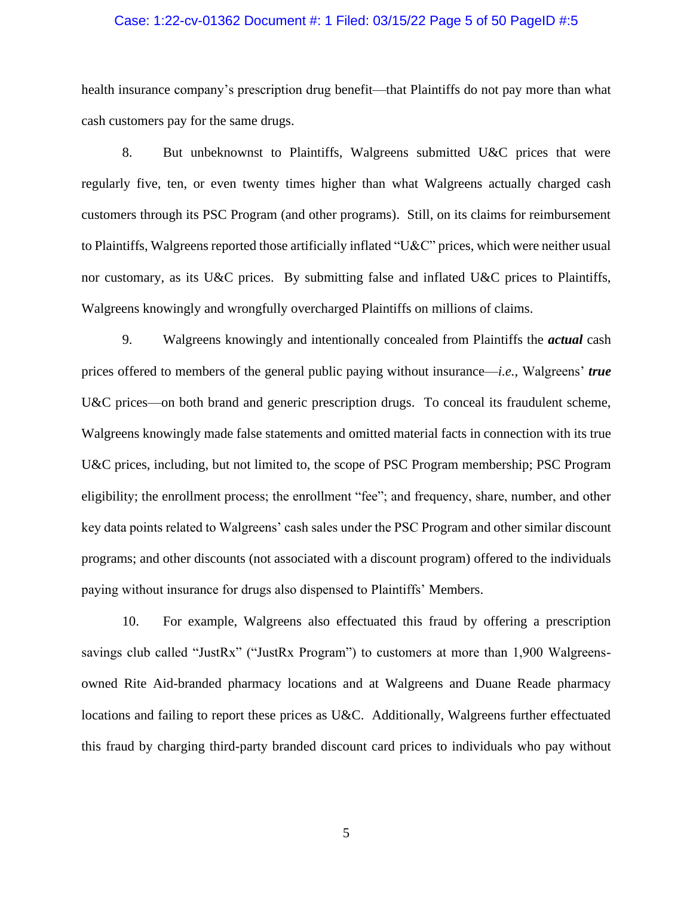### Case: 1:22-cv-01362 Document #: 1 Filed: 03/15/22 Page 5 of 50 PageID #:5

health insurance company's prescription drug benefit—that Plaintiffs do not pay more than what cash customers pay for the same drugs.

8. But unbeknownst to Plaintiffs, Walgreens submitted U&C prices that were regularly five, ten, or even twenty times higher than what Walgreens actually charged cash customers through its PSC Program (and other programs). Still, on its claims for reimbursement to Plaintiffs, Walgreens reported those artificially inflated "U&C" prices, which were neither usual nor customary, as its U&C prices. By submitting false and inflated U&C prices to Plaintiffs, Walgreens knowingly and wrongfully overcharged Plaintiffs on millions of claims.

9. Walgreens knowingly and intentionally concealed from Plaintiffs the *actual* cash prices offered to members of the general public paying without insurance—*i.e.*, Walgreens' *true*  U&C prices—on both brand and generic prescription drugs. To conceal its fraudulent scheme, Walgreens knowingly made false statements and omitted material facts in connection with its true U&C prices, including, but not limited to, the scope of PSC Program membership; PSC Program eligibility; the enrollment process; the enrollment "fee"; and frequency, share, number, and other key data points related to Walgreens' cash sales under the PSC Program and other similar discount programs; and other discounts (not associated with a discount program) offered to the individuals paying without insurance for drugs also dispensed to Plaintiffs' Members.

10. For example, Walgreens also effectuated this fraud by offering a prescription savings club called "JustRx" ("JustRx Program") to customers at more than 1,900 Walgreensowned Rite Aid-branded pharmacy locations and at Walgreens and Duane Reade pharmacy locations and failing to report these prices as U&C. Additionally, Walgreens further effectuated this fraud by charging third-party branded discount card prices to individuals who pay without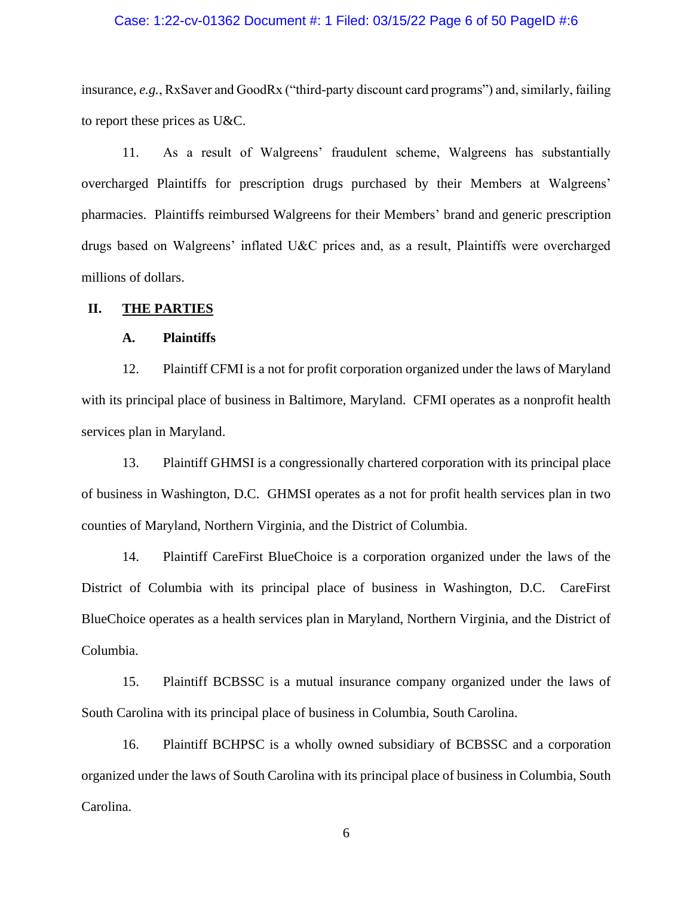### Case: 1:22-cv-01362 Document #: 1 Filed: 03/15/22 Page 6 of 50 PageID #:6

insurance, *e.g.*, RxSaver and GoodRx ("third-party discount card programs") and, similarly, failing to report these prices as U&C.

11. As a result of Walgreens' fraudulent scheme, Walgreens has substantially overcharged Plaintiffs for prescription drugs purchased by their Members at Walgreens' pharmacies. Plaintiffs reimbursed Walgreens for their Members' brand and generic prescription drugs based on Walgreens' inflated U&C prices and, as a result, Plaintiffs were overcharged millions of dollars.

### **II. THE PARTIES**

### **A. Plaintiffs**

12. Plaintiff CFMI is a not for profit corporation organized under the laws of Maryland with its principal place of business in Baltimore, Maryland. CFMI operates as a nonprofit health services plan in Maryland.

13. Plaintiff GHMSI is a congressionally chartered corporation with its principal place of business in Washington, D.C. GHMSI operates as a not for profit health services plan in two counties of Maryland, Northern Virginia, and the District of Columbia.

14. Plaintiff CareFirst BlueChoice is a corporation organized under the laws of the District of Columbia with its principal place of business in Washington, D.C. CareFirst BlueChoice operates as a health services plan in Maryland, Northern Virginia, and the District of Columbia.

15. Plaintiff BCBSSC is a mutual insurance company organized under the laws of South Carolina with its principal place of business in Columbia, South Carolina.

16. Plaintiff BCHPSC is a wholly owned subsidiary of BCBSSC and a corporation organized under the laws of South Carolina with its principal place of business in Columbia, South Carolina.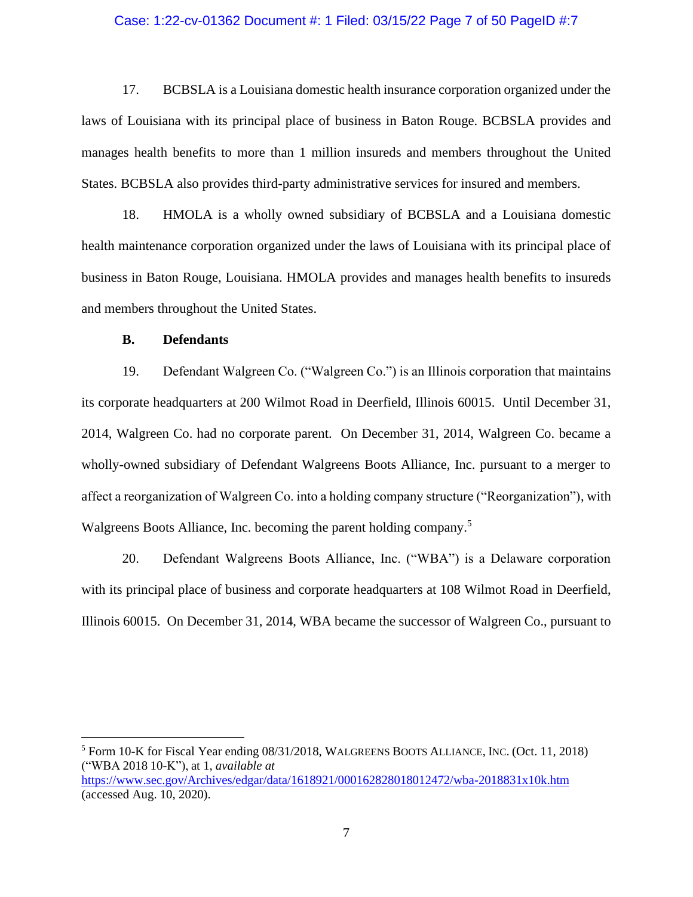### Case: 1:22-cv-01362 Document #: 1 Filed: 03/15/22 Page 7 of 50 PageID #:7

17. BCBSLA is a Louisiana domestic health insurance corporation organized under the laws of Louisiana with its principal place of business in Baton Rouge. BCBSLA provides and manages health benefits to more than 1 million insureds and members throughout the United States. BCBSLA also provides third-party administrative services for insured and members.

18. HMOLA is a wholly owned subsidiary of BCBSLA and a Louisiana domestic health maintenance corporation organized under the laws of Louisiana with its principal place of business in Baton Rouge, Louisiana. HMOLA provides and manages health benefits to insureds and members throughout the United States.

### **B. Defendants**

19. Defendant Walgreen Co. ("Walgreen Co.") is an Illinois corporation that maintains its corporate headquarters at 200 Wilmot Road in Deerfield, Illinois 60015. Until December 31, 2014, Walgreen Co. had no corporate parent. On December 31, 2014, Walgreen Co. became a wholly-owned subsidiary of Defendant Walgreens Boots Alliance, Inc. pursuant to a merger to affect a reorganization of Walgreen Co. into a holding company structure ("Reorganization"), with Walgreens Boots Alliance, Inc. becoming the parent holding company.<sup>5</sup>

20. Defendant Walgreens Boots Alliance, Inc. ("WBA") is a Delaware corporation with its principal place of business and corporate headquarters at 108 Wilmot Road in Deerfield, Illinois 60015. On December 31, 2014, WBA became the successor of Walgreen Co., pursuant to

<sup>5</sup> Form 10-K for Fiscal Year ending 08/31/2018, WALGREENS BOOTS ALLIANCE, INC. (Oct. 11, 2018) ("WBA 2018 10-K"), at 1, *available at*  <https://www.sec.gov/Archives/edgar/data/1618921/000162828018012472/wba-2018831x10k.htm>

(accessed Aug. 10, 2020).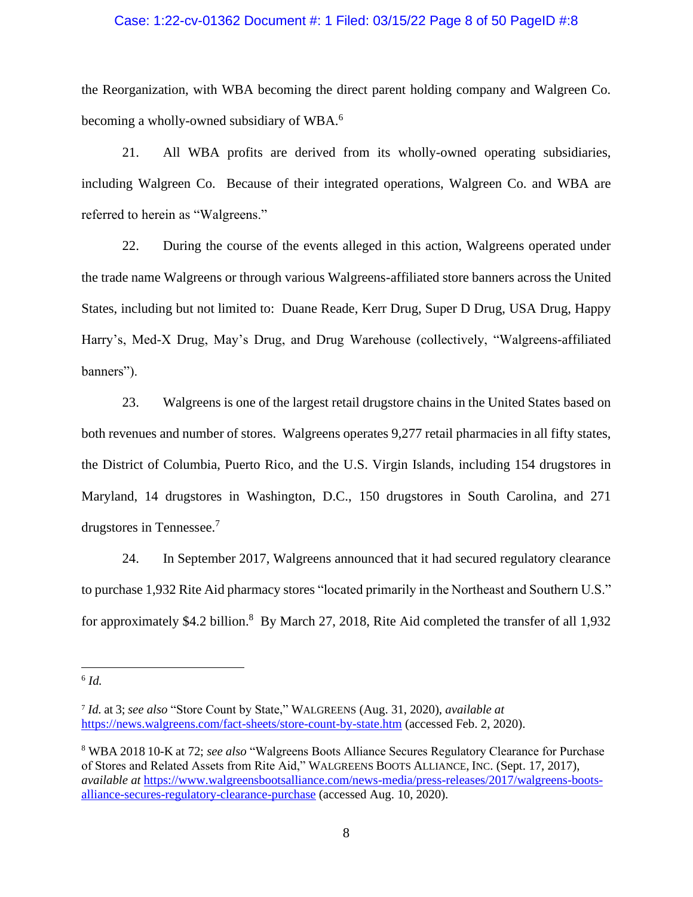### Case: 1:22-cv-01362 Document #: 1 Filed: 03/15/22 Page 8 of 50 PageID #:8

the Reorganization, with WBA becoming the direct parent holding company and Walgreen Co. becoming a wholly-owned subsidiary of WBA.<sup>6</sup>

21. All WBA profits are derived from its wholly-owned operating subsidiaries, including Walgreen Co. Because of their integrated operations, Walgreen Co. and WBA are referred to herein as "Walgreens."

22. During the course of the events alleged in this action, Walgreens operated under the trade name Walgreens or through various Walgreens-affiliated store banners across the United States, including but not limited to: Duane Reade, Kerr Drug, Super D Drug, USA Drug, Happy Harry's, Med-X Drug, May's Drug, and Drug Warehouse (collectively, "Walgreens-affiliated banners").

23. Walgreens is one of the largest retail drugstore chains in the United States based on both revenues and number of stores. Walgreens operates 9,277 retail pharmacies in all fifty states, the District of Columbia, Puerto Rico, and the U.S. Virgin Islands, including 154 drugstores in Maryland, 14 drugstores in Washington, D.C., 150 drugstores in South Carolina, and 271 drugstores in Tennessee. 7

24. In September 2017, Walgreens announced that it had secured regulatory clearance to purchase 1,932 Rite Aid pharmacy stores "located primarily in the Northeast and Southern U.S." for approximately \$4.2 billion.<sup>8</sup> By March 27, 2018, Rite Aid completed the transfer of all 1,932

<sup>6</sup> *Id.*

<sup>7</sup> *Id.* at 3; *see also* "Store Count by State," WALGREENS (Aug. 31, 2020), *available at* <https://news.walgreens.com/fact-sheets/store-count-by-state.htm> (accessed Feb. 2, 2020).

<sup>8</sup> WBA 2018 10-K at 72; *see also* "Walgreens Boots Alliance Secures Regulatory Clearance for Purchase of Stores and Related Assets from Rite Aid," WALGREENS BOOTS ALLIANCE, INC. (Sept. 17, 2017), *available at* [https://www.walgreensbootsalliance.com/news-media/press-releases/2017/walgreens-boots](https://www.walgreensbootsalliance.com/news-media/press-releases/2017/walgreens-boots-alliance-secures-regulatory-clearance-purchase)[alliance-secures-regulatory-clearance-purchase](https://www.walgreensbootsalliance.com/news-media/press-releases/2017/walgreens-boots-alliance-secures-regulatory-clearance-purchase) (accessed Aug. 10, 2020).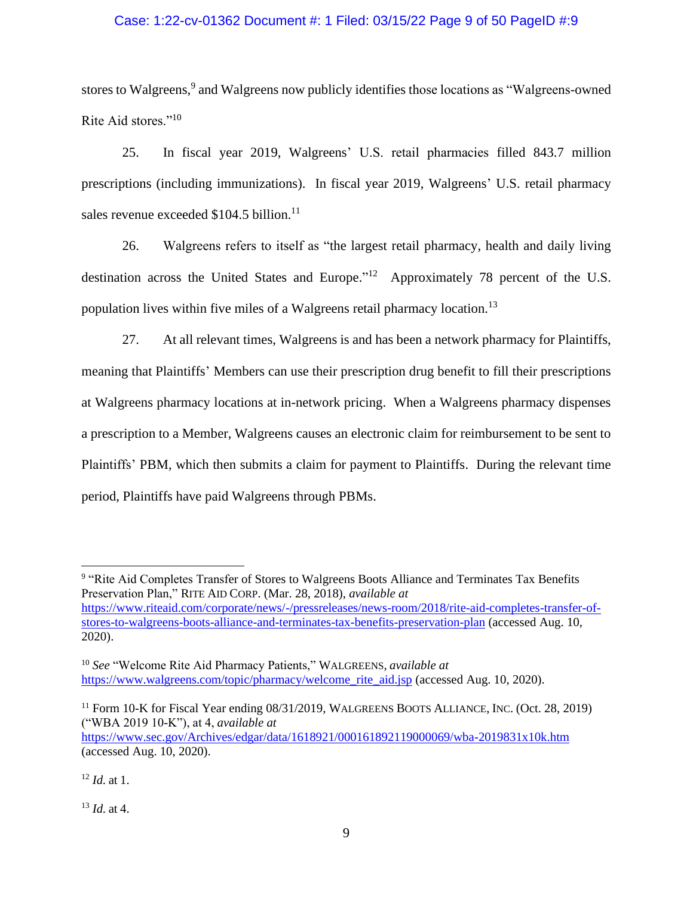### Case: 1:22-cv-01362 Document #: 1 Filed: 03/15/22 Page 9 of 50 PageID #:9

stores to Walgreens,<sup>9</sup> and Walgreens now publicly identifies those locations as "Walgreens-owned Rite Aid stores."<sup>10</sup>

25. In fiscal year 2019, Walgreens' U.S. retail pharmacies filled 843.7 million prescriptions (including immunizations). In fiscal year 2019, Walgreens' U.S. retail pharmacy sales revenue exceeded \$104.5 billion.<sup>11</sup>

26. Walgreens refers to itself as "the largest retail pharmacy, health and daily living destination across the United States and Europe."<sup>12</sup> Approximately 78 percent of the U.S. population lives within five miles of a Walgreens retail pharmacy location.<sup>13</sup>

27. At all relevant times, Walgreens is and has been a network pharmacy for Plaintiffs, meaning that Plaintiffs' Members can use their prescription drug benefit to fill their prescriptions at Walgreens pharmacy locations at in-network pricing. When a Walgreens pharmacy dispenses a prescription to a Member, Walgreens causes an electronic claim for reimbursement to be sent to Plaintiffs' PBM, which then submits a claim for payment to Plaintiffs. During the relevant time period, Plaintiffs have paid Walgreens through PBMs.

<https://www.sec.gov/Archives/edgar/data/1618921/000161892119000069/wba-2019831x10k.htm> (accessed Aug. 10, 2020).

 $13$  *Id.* at 4.

<sup>&</sup>lt;sup>9</sup> "Rite Aid Completes Transfer of Stores to Walgreens Boots Alliance and Terminates Tax Benefits Preservation Plan," RITE AID CORP. (Mar. 28, 2018), *available at*  [https://www.riteaid.com/corporate/news/-/pressreleases/news-room/2018/rite-aid-completes-transfer-of](https://www.riteaid.com/corporate/news/-/pressreleases/news-room/2018/rite-aid-completes-transfer-of-stores-to-walgreens-boots-alliance-and-terminates-tax-benefits-preservation-plan)[stores-to-walgreens-boots-alliance-and-terminates-tax-benefits-preservation-plan](https://www.riteaid.com/corporate/news/-/pressreleases/news-room/2018/rite-aid-completes-transfer-of-stores-to-walgreens-boots-alliance-and-terminates-tax-benefits-preservation-plan) (accessed Aug. 10, 2020).

<sup>10</sup> *See* "Welcome Rite Aid Pharmacy Patients," WALGREENS, *available at*  [https://www.walgreens.com/topic/pharmacy/welcome\\_rite\\_aid.jsp](https://www.walgreens.com/topic/pharmacy/welcome_rite_aid.jsp) (accessed Aug. 10, 2020).

<sup>&</sup>lt;sup>11</sup> Form 10-K for Fiscal Year ending 08/31/2019, WALGREENS BOOTS ALLIANCE, INC. (Oct. 28, 2019) ("WBA 2019 10-K"), at 4, *available at*

<sup>12</sup> *Id.* at 1.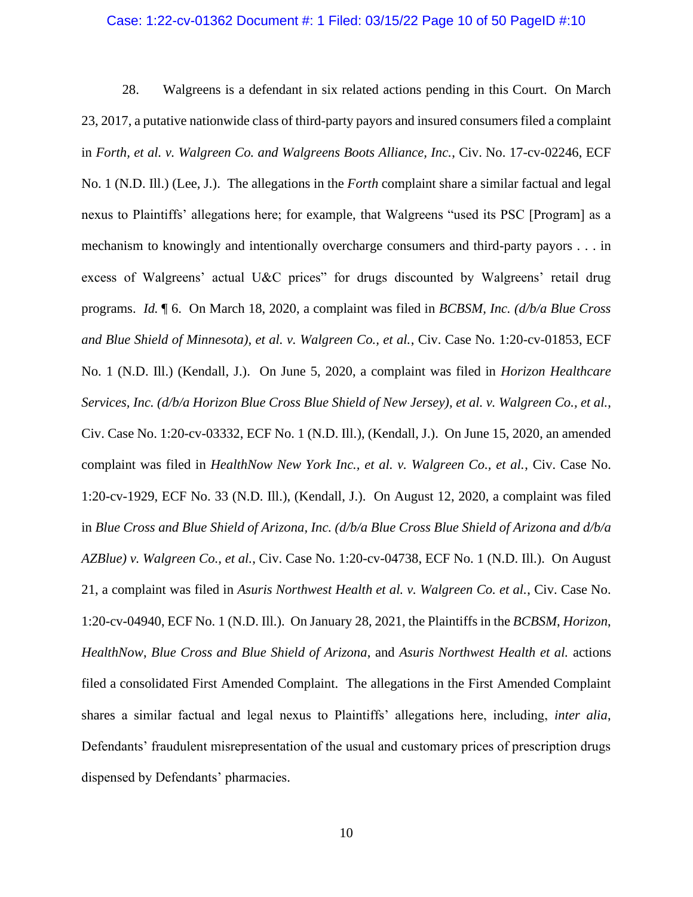#### Case: 1:22-cv-01362 Document #: 1 Filed: 03/15/22 Page 10 of 50 PageID #:10

28. Walgreens is a defendant in six related actions pending in this Court. On March 23, 2017, a putative nationwide class of third-party payors and insured consumers filed a complaint in *Forth, et al. v. Walgreen Co. and Walgreens Boots Alliance, Inc.*, Civ. No. 17-cv-02246, ECF No. 1 (N.D. Ill.) (Lee, J.). The allegations in the *Forth* complaint share a similar factual and legal nexus to Plaintiffs' allegations here; for example, that Walgreens "used its PSC [Program] as a mechanism to knowingly and intentionally overcharge consumers and third-party payors . . . in excess of Walgreens' actual U&C prices" for drugs discounted by Walgreens' retail drug programs. *Id.* ¶ 6. On March 18, 2020, a complaint was filed in *BCBSM, Inc. (d/b/a Blue Cross and Blue Shield of Minnesota), et al. v. Walgreen Co., et al.*, Civ. Case No. 1:20-cv-01853, ECF No. 1 (N.D. Ill.) (Kendall, J.). On June 5, 2020, a complaint was filed in *Horizon Healthcare Services, Inc. (d/b/a Horizon Blue Cross Blue Shield of New Jersey), et al. v. Walgreen Co., et al.*, Civ. Case No. 1:20-cv-03332, ECF No. 1 (N.D. Ill.), (Kendall, J.). On June 15, 2020, an amended complaint was filed in *HealthNow New York Inc., et al. v. Walgreen Co., et al.*, Civ. Case No. 1:20-cv-1929, ECF No. 33 (N.D. Ill.), (Kendall, J.). On August 12, 2020, a complaint was filed in *Blue Cross and Blue Shield of Arizona, Inc. (d/b/a Blue Cross Blue Shield of Arizona and d/b/a AZBlue) v. Walgreen Co., et al.*, Civ. Case No. 1:20-cv-04738, ECF No. 1 (N.D. Ill.).On August 21, a complaint was filed in *Asuris Northwest Health et al. v. Walgreen Co. et al.*, Civ. Case No. 1:20-cv-04940, ECF No. 1 (N.D. Ill.). On January 28, 2021, the Plaintiffs in the *BCBSM*, *Horizon*, *HealthNow*, *Blue Cross and Blue Shield of Arizona*, and *Asuris Northwest Health et al.* actions filed a consolidated First Amended Complaint. The allegations in the First Amended Complaint shares a similar factual and legal nexus to Plaintiffs' allegations here, including, *inter alia*, Defendants' fraudulent misrepresentation of the usual and customary prices of prescription drugs dispensed by Defendants' pharmacies.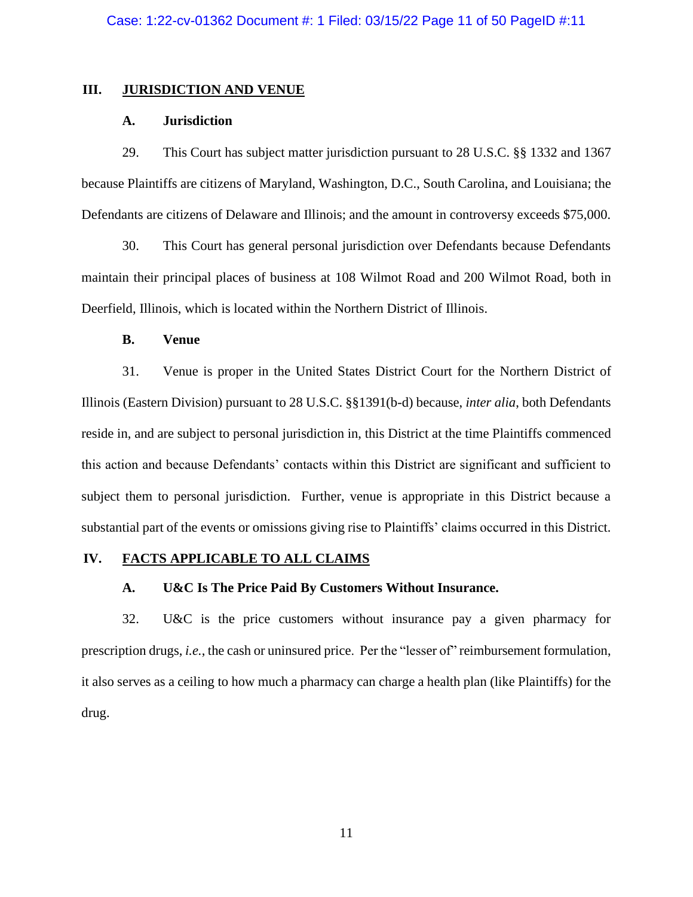### **III. JURISDICTION AND VENUE**

## **A. Jurisdiction**

29. This Court has subject matter jurisdiction pursuant to 28 U.S.C. §§ 1332 and 1367 because Plaintiffs are citizens of Maryland, Washington, D.C., South Carolina, and Louisiana; the Defendants are citizens of Delaware and Illinois; and the amount in controversy exceeds \$75,000.

30. This Court has general personal jurisdiction over Defendants because Defendants maintain their principal places of business at 108 Wilmot Road and 200 Wilmot Road, both in Deerfield, Illinois, which is located within the Northern District of Illinois.

## **B. Venue**

31. Venue is proper in the United States District Court for the Northern District of Illinois (Eastern Division) pursuant to 28 U.S.C. §§1391(b-d) because, *inter alia*, both Defendants reside in, and are subject to personal jurisdiction in, this District at the time Plaintiffs commenced this action and because Defendants' contacts within this District are significant and sufficient to subject them to personal jurisdiction. Further, venue is appropriate in this District because a substantial part of the events or omissions giving rise to Plaintiffs' claims occurred in this District.

### **IV. FACTS APPLICABLE TO ALL CLAIMS**

## **A. U&C Is The Price Paid By Customers Without Insurance.**

32. U&C is the price customers without insurance pay a given pharmacy for prescription drugs, *i.e.*, the cash or uninsured price. Per the "lesser of" reimbursement formulation, it also serves as a ceiling to how much a pharmacy can charge a health plan (like Plaintiffs) for the drug.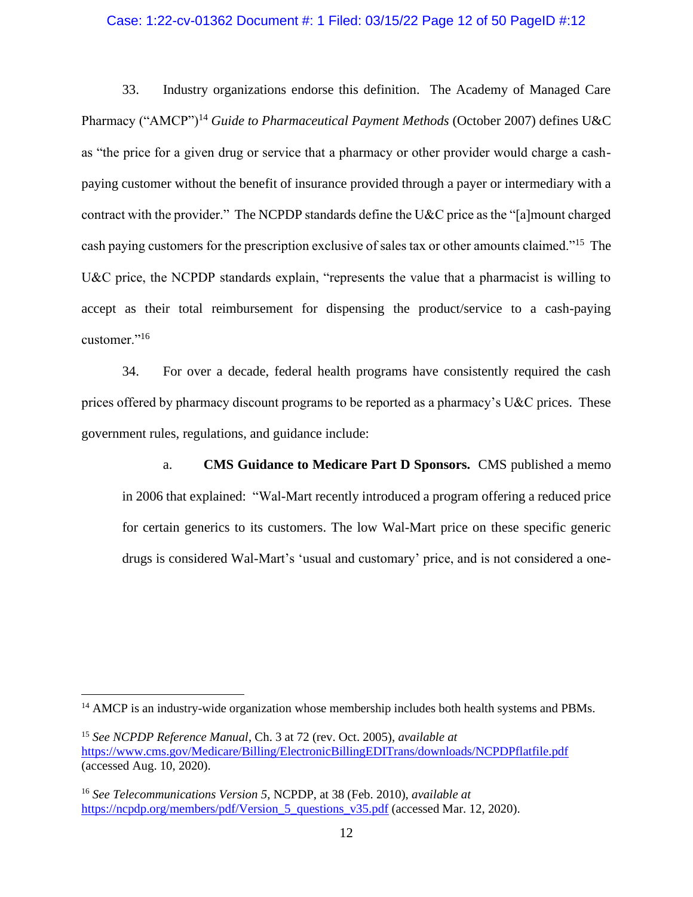### Case: 1:22-cv-01362 Document #: 1 Filed: 03/15/22 Page 12 of 50 PageID #:12

33. Industry organizations endorse this definition. The Academy of Managed Care Pharmacy ("AMCP")<sup>14</sup> *Guide to Pharmaceutical Payment Methods* (October 2007) defines U&C as "the price for a given drug or service that a pharmacy or other provider would charge a cashpaying customer without the benefit of insurance provided through a payer or intermediary with a contract with the provider." The NCPDP standards define the U&C price as the "[a]mount charged cash paying customers for the prescription exclusive of sales tax or other amounts claimed."<sup>15</sup> The U&C price, the NCPDP standards explain, "represents the value that a pharmacist is willing to accept as their total reimbursement for dispensing the product/service to a cash-paying customer."<sup>16</sup>

34. For over a decade, federal health programs have consistently required the cash prices offered by pharmacy discount programs to be reported as a pharmacy's U&C prices. These government rules, regulations, and guidance include:

a. **CMS Guidance to Medicare Part D Sponsors.** CMS published a memo in 2006 that explained: "Wal-Mart recently introduced a program offering a reduced price for certain generics to its customers. The low Wal-Mart price on these specific generic drugs is considered Wal-Mart's 'usual and customary' price, and is not considered a one-

<sup>&</sup>lt;sup>14</sup> AMCP is an industry-wide organization whose membership includes both health systems and PBMs.

<sup>15</sup> *See NCPDP Reference Manual*, Ch. 3 at 72 (rev. Oct. 2005), *available at* <https://www.cms.gov/Medicare/Billing/ElectronicBillingEDITrans/downloads/NCPDPflatfile.pdf> (accessed Aug. 10, 2020).

<sup>16</sup> *See Telecommunications Version 5*, NCPDP, at 38 (Feb. 2010), *available at* [https://ncpdp.org/members/pdf/Version\\_5\\_questions\\_v35.pdf](https://ncpdp.org/members/pdf/Version_5_questions_v35.pdf) (accessed Mar. 12, 2020).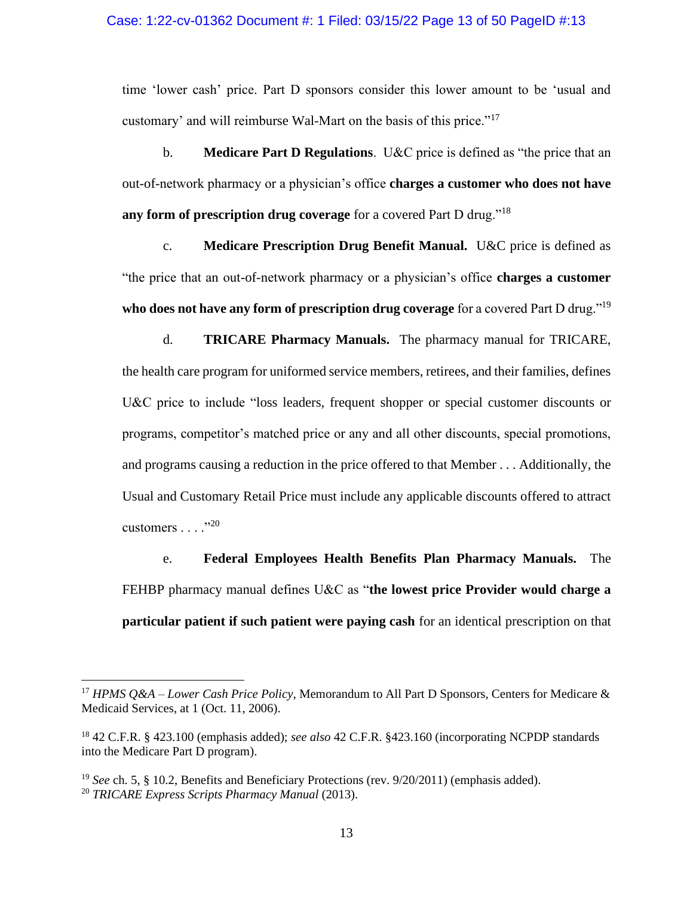time 'lower cash' price. Part D sponsors consider this lower amount to be 'usual and customary' and will reimburse Wal-Mart on the basis of this price."<sup>17</sup>

b. **Medicare Part D Regulations**. U&C price is defined as "the price that an out-of-network pharmacy or a physician's office **charges a customer who does not have any form of prescription drug coverage** for a covered Part D drug."<sup>18</sup>

c. **Medicare Prescription Drug Benefit Manual.** U&C price is defined as "the price that an out-of-network pharmacy or a physician's office **charges a customer who does not have any form of prescription drug coverage** for a covered Part D drug."<sup>19</sup>

d. **TRICARE Pharmacy Manuals.** The pharmacy manual for TRICARE, the health care program for uniformed service members, retirees, and their families, defines U&C price to include "loss leaders, frequent shopper or special customer discounts or programs, competitor's matched price or any and all other discounts, special promotions, and programs causing a reduction in the price offered to that Member . . . Additionally, the Usual and Customary Retail Price must include any applicable discounts offered to attract customers . . . ."<sup>20</sup>

e. **Federal Employees Health Benefits Plan Pharmacy Manuals.** The FEHBP pharmacy manual defines U&C as "**the lowest price Provider would charge a particular patient if such patient were paying cash** for an identical prescription on that

<sup>17</sup> *HPMS Q&A – Lower Cash Price Policy*, Memorandum to All Part D Sponsors, Centers for Medicare & Medicaid Services, at 1 (Oct. 11, 2006).

<sup>18</sup> 42 C.F.R. § 423.100 (emphasis added); *see also* 42 C.F.R. §423.160 (incorporating NCPDP standards into the Medicare Part D program).

<sup>19</sup> *See* ch. 5, § 10.2, Benefits and Beneficiary Protections (rev. 9/20/2011) (emphasis added). <sup>20</sup> *TRICARE Express Scripts Pharmacy Manual* (2013).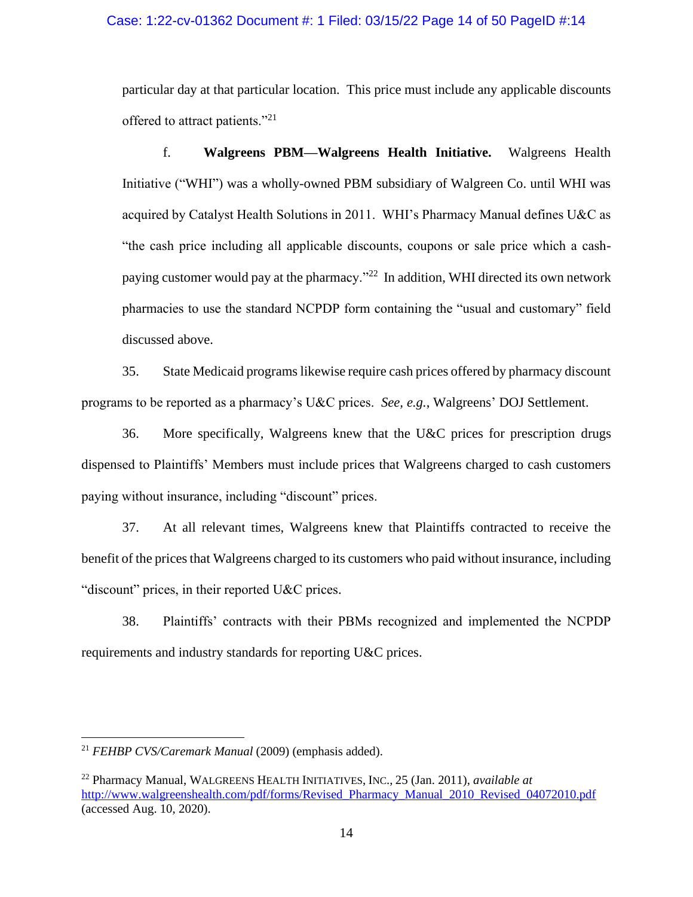### Case: 1:22-cv-01362 Document #: 1 Filed: 03/15/22 Page 14 of 50 PageID #:14

particular day at that particular location. This price must include any applicable discounts offered to attract patients."<sup>21</sup>

f. **Walgreens PBM—Walgreens Health Initiative.** Walgreens Health Initiative ("WHI") was a wholly-owned PBM subsidiary of Walgreen Co. until WHI was acquired by Catalyst Health Solutions in 2011. WHI's Pharmacy Manual defines U&C as "the cash price including all applicable discounts, coupons or sale price which a cashpaying customer would pay at the pharmacy."<sup>22</sup> In addition, WHI directed its own network pharmacies to use the standard NCPDP form containing the "usual and customary" field discussed above.

35. State Medicaid programs likewise require cash prices offered by pharmacy discount programs to be reported as a pharmacy's U&C prices. *See, e.g.*, Walgreens' DOJ Settlement.

36. More specifically, Walgreens knew that the U&C prices for prescription drugs dispensed to Plaintiffs' Members must include prices that Walgreens charged to cash customers paying without insurance, including "discount" prices.

37. At all relevant times, Walgreens knew that Plaintiffs contracted to receive the benefit of the prices that Walgreens charged to its customers who paid without insurance, including "discount" prices, in their reported U&C prices.

38. Plaintiffs' contracts with their PBMs recognized and implemented the NCPDP requirements and industry standards for reporting U&C prices.

<sup>21</sup> *FEHBP CVS/Caremark Manual* (2009) (emphasis added).

<sup>22</sup> Pharmacy Manual, WALGREENS HEALTH INITIATIVES, INC., 25 (Jan. 2011), *available at* [http://www.walgreenshealth.com/pdf/forms/Revised\\_Pharmacy\\_Manual\\_2010\\_Revised\\_04072010.pdf](www.walgreenshealth.com/pdf/forms/Revised_Pharmacy_Manual_2010_Revised_04072010.pdf) (accessed Aug. 10, 2020).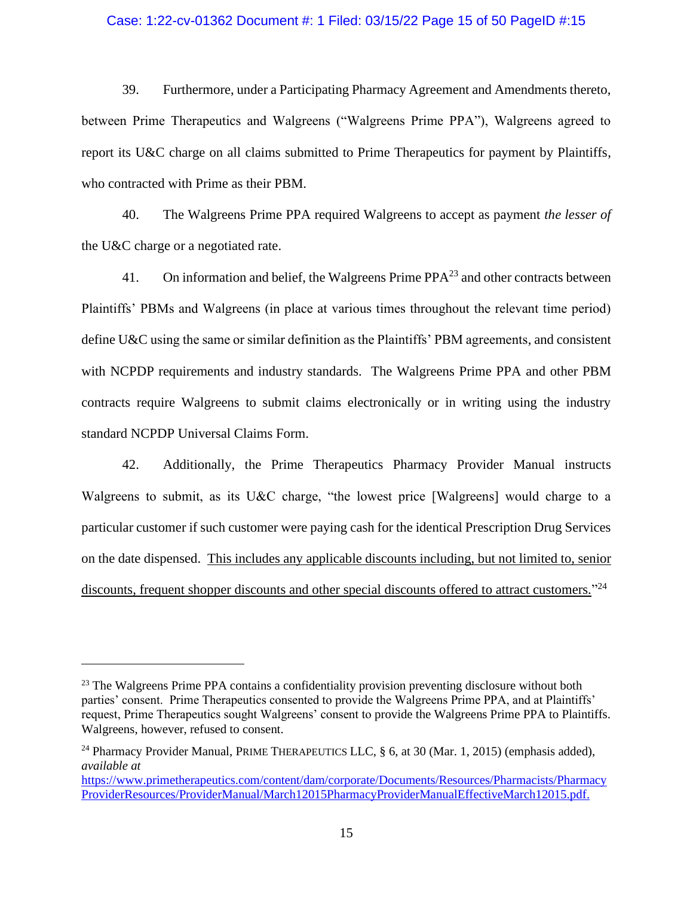### Case: 1:22-cv-01362 Document #: 1 Filed: 03/15/22 Page 15 of 50 PageID #:15

39. Furthermore, under a Participating Pharmacy Agreement and Amendments thereto, between Prime Therapeutics and Walgreens ("Walgreens Prime PPA"), Walgreens agreed to report its U&C charge on all claims submitted to Prime Therapeutics for payment by Plaintiffs, who contracted with Prime as their PBM.

40. The Walgreens Prime PPA required Walgreens to accept as payment *the lesser of*  the U&C charge or a negotiated rate.

41. On information and belief, the Walgreens Prime  $PPA<sup>23</sup>$  and other contracts between Plaintiffs' PBMs and Walgreens (in place at various times throughout the relevant time period) define U&C using the same or similar definition as the Plaintiffs' PBM agreements, and consistent with NCPDP requirements and industry standards. The Walgreens Prime PPA and other PBM contracts require Walgreens to submit claims electronically or in writing using the industry standard NCPDP Universal Claims Form.

42. Additionally, the Prime Therapeutics Pharmacy Provider Manual instructs Walgreens to submit, as its U&C charge, "the lowest price [Walgreens] would charge to a particular customer if such customer were paying cash for the identical Prescription Drug Services on the date dispensed. This includes any applicable discounts including, but not limited to, senior discounts, frequent shopper discounts and other special discounts offered to attract customers."<sup>24</sup>

<sup>&</sup>lt;sup>23</sup> The Walgreens Prime PPA contains a confidentiality provision preventing disclosure without both parties' consent. Prime Therapeutics consented to provide the Walgreens Prime PPA, and at Plaintiffs' request, Prime Therapeutics sought Walgreens' consent to provide the Walgreens Prime PPA to Plaintiffs. Walgreens, however, refused to consent.

<sup>&</sup>lt;sup>24</sup> Pharmacy Provider Manual, PRIME THERAPEUTICS LLC,  $\S$  6, at 30 (Mar. 1, 2015) (emphasis added), *available at*

[https://www.primetherapeutics.com/content/dam/corporate/Documents/Resources/Pharmacists/Pharmacy](https://www.primetherapeutics.com/content/dam/corporate/Documents/Resources/Pharmacists/PharmacyProviderResources/ProviderManual/March12015PharmacyProviderManualEffectiveMarch12015.pdf) [ProviderResources/ProviderManual/March12015PharmacyProviderManualEffectiveMarch12015.pdf.](https://www.primetherapeutics.com/content/dam/corporate/Documents/Resources/Pharmacists/PharmacyProviderResources/ProviderManual/March12015PharmacyProviderManualEffectiveMarch12015.pdf)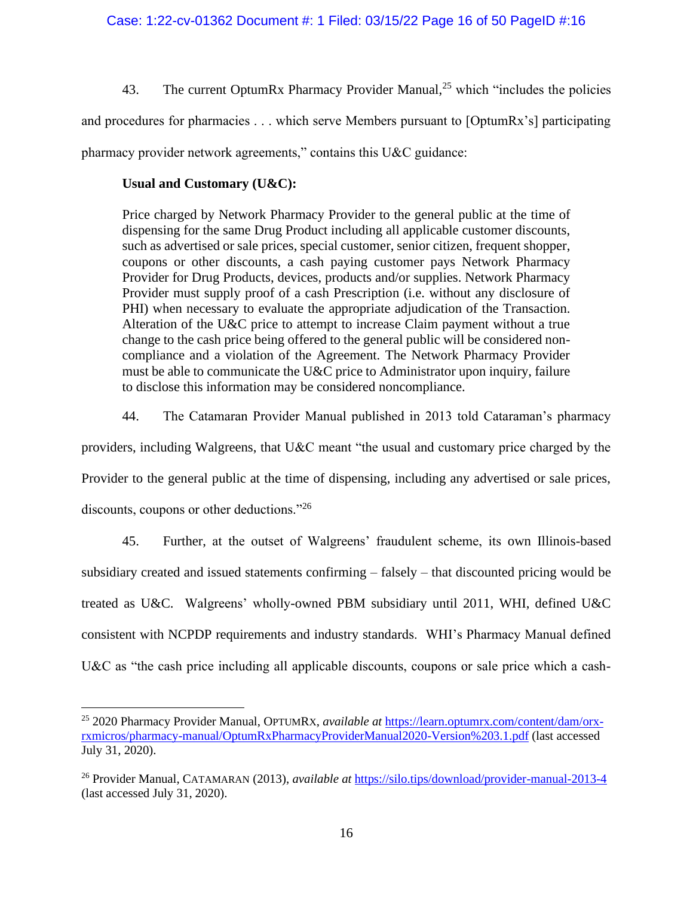43. The current OptumRx Pharmacy Provider Manual,<sup>25</sup> which "includes the policies"

and procedures for pharmacies . . . which serve Members pursuant to [OptumRx's] participating

pharmacy provider network agreements," contains this U&C guidance:

# **Usual and Customary (U&C):**

Price charged by Network Pharmacy Provider to the general public at the time of dispensing for the same Drug Product including all applicable customer discounts, such as advertised or sale prices, special customer, senior citizen, frequent shopper, coupons or other discounts, a cash paying customer pays Network Pharmacy Provider for Drug Products, devices, products and/or supplies. Network Pharmacy Provider must supply proof of a cash Prescription (i.e. without any disclosure of PHI) when necessary to evaluate the appropriate adjudication of the Transaction. Alteration of the U&C price to attempt to increase Claim payment without a true change to the cash price being offered to the general public will be considered noncompliance and a violation of the Agreement. The Network Pharmacy Provider must be able to communicate the U&C price to Administrator upon inquiry, failure to disclose this information may be considered noncompliance.

44. The Catamaran Provider Manual published in 2013 told Cataraman's pharmacy

providers, including Walgreens, that U&C meant "the usual and customary price charged by the

Provider to the general public at the time of dispensing, including any advertised or sale prices,

discounts, coupons or other deductions."<sup>26</sup>

45. Further, at the outset of Walgreens' fraudulent scheme, its own Illinois-based subsidiary created and issued statements confirming – falsely – that discounted pricing would be treated as U&C. Walgreens' wholly-owned PBM subsidiary until 2011, WHI, defined U&C consistent with NCPDP requirements and industry standards. WHI's Pharmacy Manual defined U&C as "the cash price including all applicable discounts, coupons or sale price which a cash-

<sup>25</sup> 2020 Pharmacy Provider Manual, OPTUMRX, *available at* [https://learn.optumrx.com/content/dam/orx](https://learn.optumrx.com/content/dam/orx-rxmicros/pharmacy-manual/OptumRxPharmacyProviderManual2020-Version%203.1.pdf)[rxmicros/pharmacy-manual/OptumRxPharmacyProviderManual2020-Version%203.1.pdf](https://learn.optumrx.com/content/dam/orx-rxmicros/pharmacy-manual/OptumRxPharmacyProviderManual2020-Version%203.1.pdf) (last accessed July 31, 2020).

<sup>26</sup> Provider Manual, CATAMARAN (2013), *available at* <https://silo.tips/download/provider-manual-2013-4> (last accessed July 31, 2020).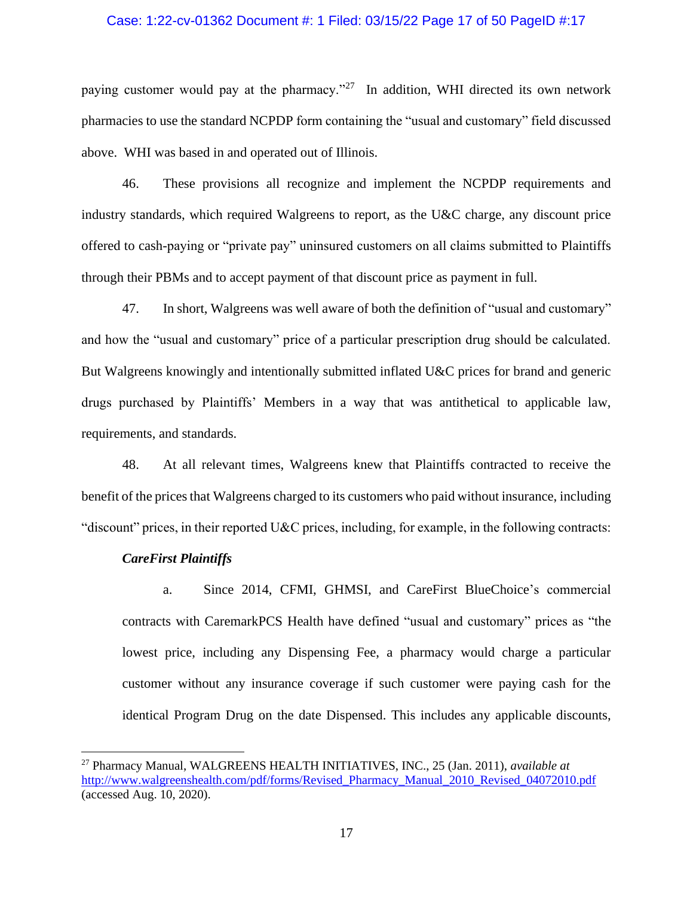### Case: 1:22-cv-01362 Document #: 1 Filed: 03/15/22 Page 17 of 50 PageID #:17

paying customer would pay at the pharmacy."<sup>27</sup> In addition, WHI directed its own network pharmacies to use the standard NCPDP form containing the "usual and customary" field discussed above. WHI was based in and operated out of Illinois.

46. These provisions all recognize and implement the NCPDP requirements and industry standards, which required Walgreens to report, as the U&C charge, any discount price offered to cash-paying or "private pay" uninsured customers on all claims submitted to Plaintiffs through their PBMs and to accept payment of that discount price as payment in full.

47. In short, Walgreens was well aware of both the definition of "usual and customary" and how the "usual and customary" price of a particular prescription drug should be calculated. But Walgreens knowingly and intentionally submitted inflated U&C prices for brand and generic drugs purchased by Plaintiffs' Members in a way that was antithetical to applicable law, requirements, and standards.

48. At all relevant times, Walgreens knew that Plaintiffs contracted to receive the benefit of the prices that Walgreens charged to its customers who paid without insurance, including "discount" prices, in their reported U&C prices, including, for example, in the following contracts:

### *CareFirst Plaintiffs*

a. Since 2014, CFMI, GHMSI, and CareFirst BlueChoice's commercial contracts with CaremarkPCS Health have defined "usual and customary" prices as "the lowest price, including any Dispensing Fee, a pharmacy would charge a particular customer without any insurance coverage if such customer were paying cash for the identical Program Drug on the date Dispensed. This includes any applicable discounts,

<sup>27</sup> Pharmacy Manual, WALGREENS HEALTH INITIATIVES, INC., 25 (Jan. 2011), *available at*  [http://www.walgreenshealth.com/pdf/forms/Revised\\_Pharmacy\\_Manual\\_2010\\_Revised\\_04072010.pdf](www.walgreenshealth.com/pdf/forms/Revised_Pharmacy_Manual_2010_Revised_04072010.pdf) (accessed Aug. 10, 2020).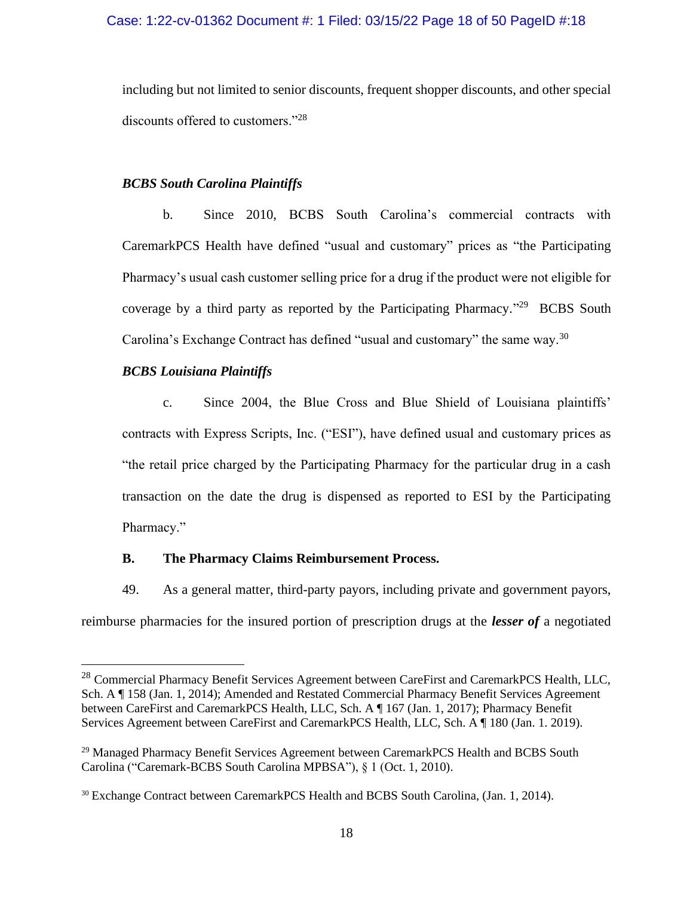including but not limited to senior discounts, frequent shopper discounts, and other special discounts offered to customers."<sup>28</sup>

# *BCBS South Carolina Plaintiffs*

b. Since 2010, BCBS South Carolina's commercial contracts with CaremarkPCS Health have defined "usual and customary" prices as "the Participating Pharmacy's usual cash customer selling price for a drug if the product were not eligible for coverage by a third party as reported by the Participating Pharmacy."<sup>29</sup> BCBS South Carolina's Exchange Contract has defined "usual and customary" the same way.<sup>30</sup>

# *BCBS Louisiana Plaintiffs*

c. Since 2004, the Blue Cross and Blue Shield of Louisiana plaintiffs' contracts with Express Scripts, Inc. ("ESI"), have defined usual and customary prices as "the retail price charged by the Participating Pharmacy for the particular drug in a cash transaction on the date the drug is dispensed as reported to ESI by the Participating Pharmacy."

## **B. The Pharmacy Claims Reimbursement Process.**

49. As a general matter, third-party payors, including private and government payors, reimburse pharmacies for the insured portion of prescription drugs at the *lesser of* a negotiated

<sup>&</sup>lt;sup>28</sup> Commercial Pharmacy Benefit Services Agreement between CareFirst and CaremarkPCS Health, LLC, Sch. A ¶ 158 (Jan. 1, 2014); Amended and Restated Commercial Pharmacy Benefit Services Agreement between CareFirst and CaremarkPCS Health, LLC, Sch. A ¶ 167 (Jan. 1, 2017); Pharmacy Benefit Services Agreement between CareFirst and CaremarkPCS Health, LLC, Sch. A ¶ 180 (Jan. 1. 2019).

<sup>&</sup>lt;sup>29</sup> Managed Pharmacy Benefit Services Agreement between CaremarkPCS Health and BCBS South Carolina ("Caremark-BCBS South Carolina MPBSA"), § 1 (Oct. 1, 2010).

<sup>30</sup> Exchange Contract between CaremarkPCS Health and BCBS South Carolina, (Jan. 1, 2014).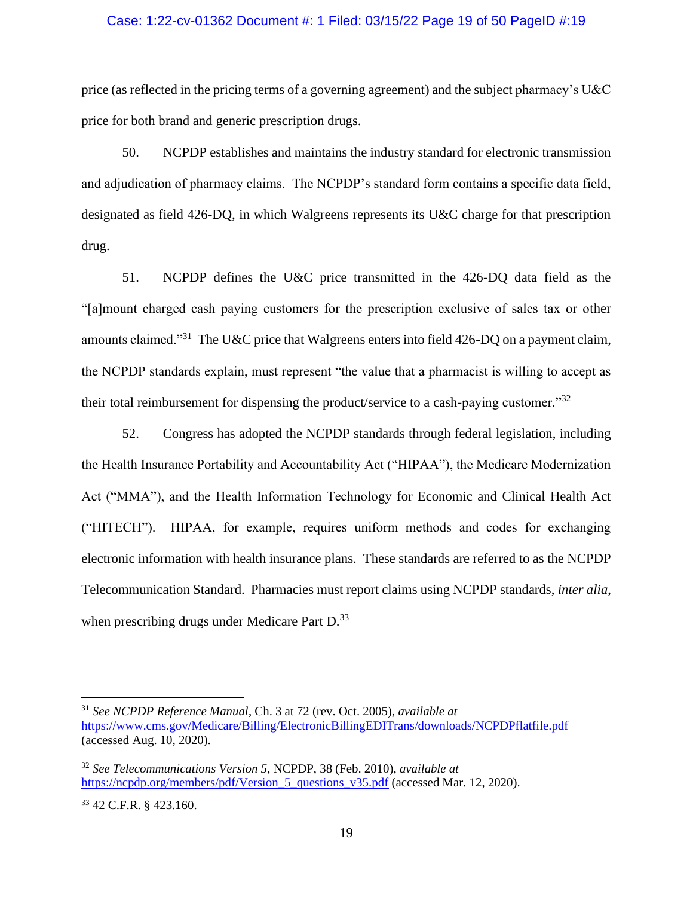### Case: 1:22-cv-01362 Document #: 1 Filed: 03/15/22 Page 19 of 50 PageID #:19

price (as reflected in the pricing terms of a governing agreement) and the subject pharmacy's U&C price for both brand and generic prescription drugs.

50. NCPDP establishes and maintains the industry standard for electronic transmission and adjudication of pharmacy claims. The NCPDP's standard form contains a specific data field, designated as field 426-DQ, in which Walgreens represents its U&C charge for that prescription drug.

51. NCPDP defines the U&C price transmitted in the 426-DQ data field as the "[a]mount charged cash paying customers for the prescription exclusive of sales tax or other amounts claimed."<sup>31</sup> The U&C price that Walgreens enters into field 426-DQ on a payment claim, the NCPDP standards explain, must represent "the value that a pharmacist is willing to accept as their total reimbursement for dispensing the product/service to a cash-paying customer."<sup>32</sup>

52. Congress has adopted the NCPDP standards through federal legislation, including the Health Insurance Portability and Accountability Act ("HIPAA"), the Medicare Modernization Act ("MMA"), and the Health Information Technology for Economic and Clinical Health Act ("HITECH"). HIPAA, for example, requires uniform methods and codes for exchanging electronic information with health insurance plans. These standards are referred to as the NCPDP Telecommunication Standard. Pharmacies must report claims using NCPDP standards, *inter alia*, when prescribing drugs under Medicare Part D.<sup>33</sup>

<sup>31</sup> *See NCPDP Reference Manual*, Ch. 3 at 72 (rev. Oct. 2005), *available at* <https://www.cms.gov/Medicare/Billing/ElectronicBillingEDITrans/downloads/NCPDPflatfile.pdf> (accessed Aug. 10, 2020).

<sup>32</sup> *See Telecommunications Version 5*, NCPDP, 38 (Feb. 2010), *available at* [https://ncpdp.org/members/pdf/Version\\_5\\_questions\\_v35.pdf](https://ncpdp.org/members/pdf/Version_5_questions_v35.pdf) (accessed Mar. 12, 2020).

<sup>33</sup> 42 C.F.R. § 423.160.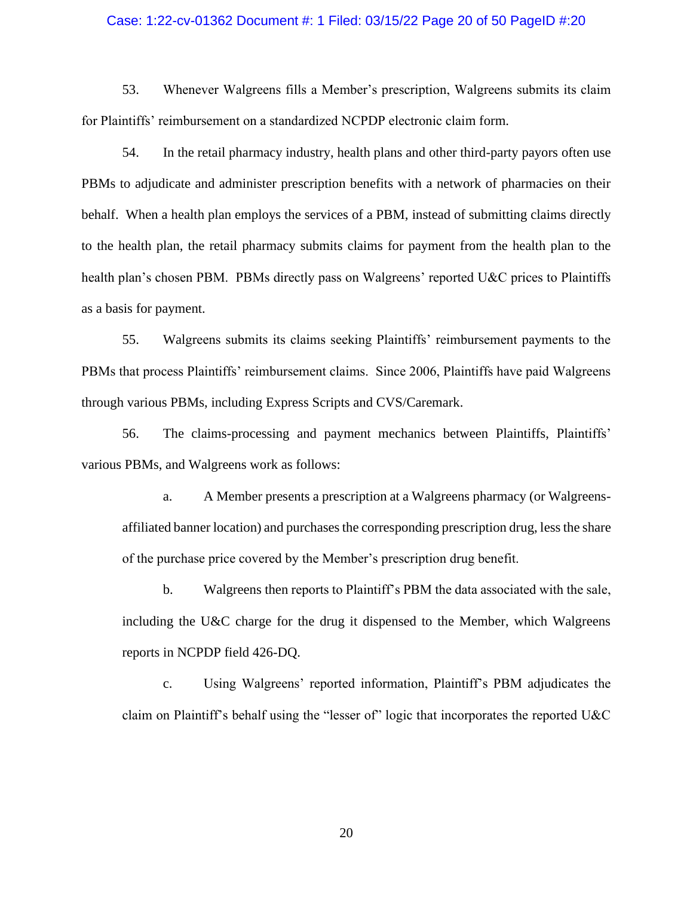## Case: 1:22-cv-01362 Document #: 1 Filed: 03/15/22 Page 20 of 50 PageID #:20

53. Whenever Walgreens fills a Member's prescription, Walgreens submits its claim for Plaintiffs' reimbursement on a standardized NCPDP electronic claim form.

54. In the retail pharmacy industry, health plans and other third-party payors often use PBMs to adjudicate and administer prescription benefits with a network of pharmacies on their behalf. When a health plan employs the services of a PBM, instead of submitting claims directly to the health plan, the retail pharmacy submits claims for payment from the health plan to the health plan's chosen PBM. PBMs directly pass on Walgreens' reported U&C prices to Plaintiffs as a basis for payment.

55. Walgreens submits its claims seeking Plaintiffs' reimbursement payments to the PBMs that process Plaintiffs' reimbursement claims. Since 2006, Plaintiffs have paid Walgreens through various PBMs, including Express Scripts and CVS/Caremark.

56. The claims-processing and payment mechanics between Plaintiffs, Plaintiffs' various PBMs, and Walgreens work as follows:

a. A Member presents a prescription at a Walgreens pharmacy (or Walgreensaffiliated banner location) and purchases the corresponding prescription drug, less the share of the purchase price covered by the Member's prescription drug benefit.

b. Walgreens then reports to Plaintiff's PBM the data associated with the sale, including the U&C charge for the drug it dispensed to the Member, which Walgreens reports in NCPDP field 426-DQ.

c. Using Walgreens' reported information, Plaintiff's PBM adjudicates the claim on Plaintiff's behalf using the "lesser of" logic that incorporates the reported U&C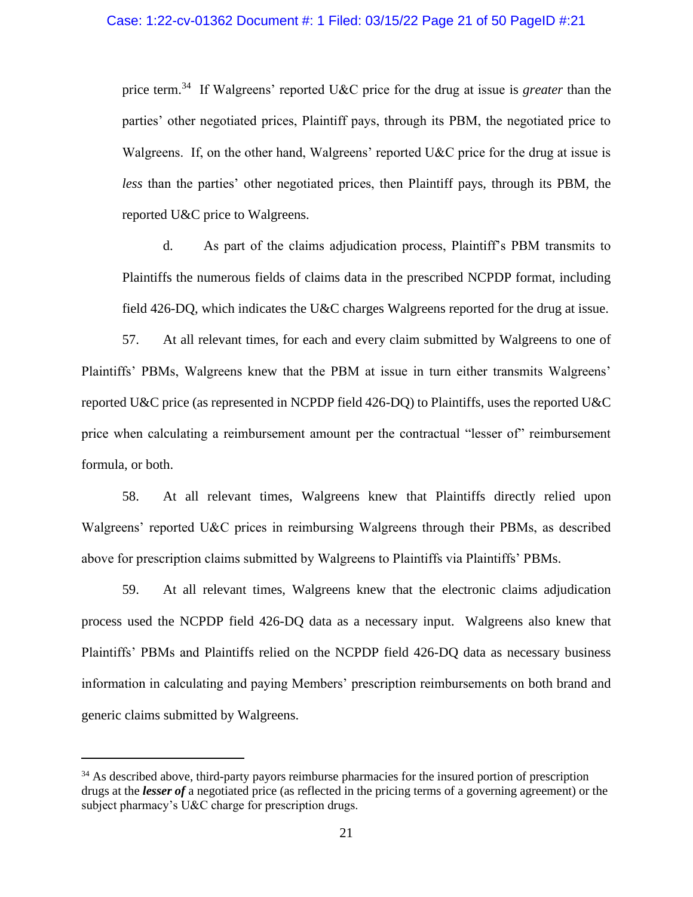price term.<sup>34</sup> If Walgreens' reported U&C price for the drug at issue is *greater* than the parties' other negotiated prices, Plaintiff pays, through its PBM, the negotiated price to Walgreens. If, on the other hand, Walgreens' reported U&C price for the drug at issue is *less* than the parties' other negotiated prices, then Plaintiff pays, through its PBM, the reported U&C price to Walgreens.

d. As part of the claims adjudication process, Plaintiff's PBM transmits to Plaintiffs the numerous fields of claims data in the prescribed NCPDP format, including field 426-DQ, which indicates the U&C charges Walgreens reported for the drug at issue.

57. At all relevant times, for each and every claim submitted by Walgreens to one of Plaintiffs' PBMs, Walgreens knew that the PBM at issue in turn either transmits Walgreens' reported U&C price (as represented in NCPDP field 426-DQ) to Plaintiffs, uses the reported U&C price when calculating a reimbursement amount per the contractual "lesser of" reimbursement formula, or both.

58. At all relevant times, Walgreens knew that Plaintiffs directly relied upon Walgreens' reported U&C prices in reimbursing Walgreens through their PBMs, as described above for prescription claims submitted by Walgreens to Plaintiffs via Plaintiffs' PBMs.

59. At all relevant times, Walgreens knew that the electronic claims adjudication process used the NCPDP field 426-DQ data as a necessary input. Walgreens also knew that Plaintiffs' PBMs and Plaintiffs relied on the NCPDP field 426-DQ data as necessary business information in calculating and paying Members' prescription reimbursements on both brand and generic claims submitted by Walgreens.

<sup>&</sup>lt;sup>34</sup> As described above, third-party payors reimburse pharmacies for the insured portion of prescription drugs at the *lesser of* a negotiated price (as reflected in the pricing terms of a governing agreement) or the subject pharmacy's U&C charge for prescription drugs.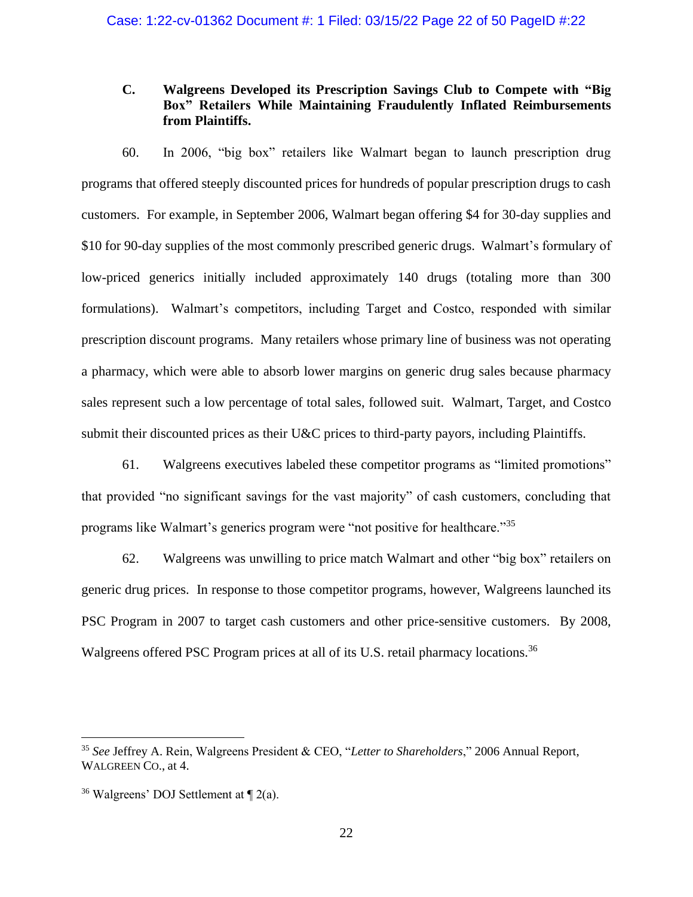# **C. Walgreens Developed its Prescription Savings Club to Compete with "Big Box" Retailers While Maintaining Fraudulently Inflated Reimbursements from Plaintiffs.**

60. In 2006, "big box" retailers like Walmart began to launch prescription drug programs that offered steeply discounted prices for hundreds of popular prescription drugs to cash customers. For example, in September 2006, Walmart began offering \$4 for 30-day supplies and \$10 for 90-day supplies of the most commonly prescribed generic drugs. Walmart's formulary of low-priced generics initially included approximately 140 drugs (totaling more than 300 formulations). Walmart's competitors, including Target and Costco, responded with similar prescription discount programs. Many retailers whose primary line of business was not operating a pharmacy, which were able to absorb lower margins on generic drug sales because pharmacy sales represent such a low percentage of total sales, followed suit. Walmart, Target, and Costco submit their discounted prices as their U&C prices to third-party payors, including Plaintiffs.

61. Walgreens executives labeled these competitor programs as "limited promotions" that provided "no significant savings for the vast majority" of cash customers, concluding that programs like Walmart's generics program were "not positive for healthcare."<sup>35</sup>

62. Walgreens was unwilling to price match Walmart and other "big box" retailers on generic drug prices. In response to those competitor programs, however, Walgreens launched its PSC Program in 2007 to target cash customers and other price-sensitive customers. By 2008, Walgreens offered PSC Program prices at all of its U.S. retail pharmacy locations.<sup>36</sup>

<sup>35</sup> *See* Jeffrey A. Rein, Walgreens President & CEO, "*Letter to Shareholders*," 2006 Annual Report, WALGREEN CO., at 4.

<sup>&</sup>lt;sup>36</sup> Walgreens' DOJ Settlement at  $\P$  2(a).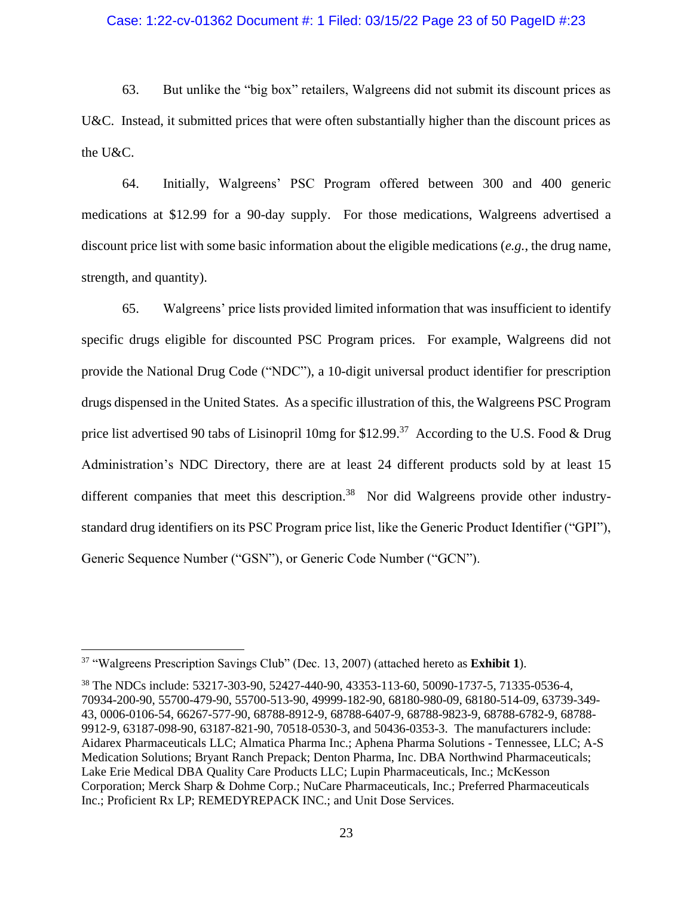### Case: 1:22-cv-01362 Document #: 1 Filed: 03/15/22 Page 23 of 50 PageID #:23

63. But unlike the "big box" retailers, Walgreens did not submit its discount prices as U&C. Instead, it submitted prices that were often substantially higher than the discount prices as the U&C.

64. Initially, Walgreens' PSC Program offered between 300 and 400 generic medications at \$12.99 for a 90-day supply. For those medications, Walgreens advertised a discount price list with some basic information about the eligible medications (*e.g.*, the drug name, strength, and quantity).

65. Walgreens' price lists provided limited information that was insufficient to identify specific drugs eligible for discounted PSC Program prices. For example, Walgreens did not provide the National Drug Code ("NDC"), a 10-digit universal product identifier for prescription drugs dispensed in the United States. As a specific illustration of this, the Walgreens PSC Program price list advertised 90 tabs of Lisinopril 10mg for \$12.99.<sup>37</sup> According to the U.S. Food & Drug Administration's NDC Directory, there are at least 24 different products sold by at least 15 different companies that meet this description.<sup>38</sup> Nor did Walgreens provide other industrystandard drug identifiers on its PSC Program price list, like the Generic Product Identifier ("GPI"), Generic Sequence Number ("GSN"), or Generic Code Number ("GCN").

<sup>37</sup> "Walgreens Prescription Savings Club" (Dec. 13, 2007) (attached hereto as **Exhibit 1**).

<sup>38</sup> The NDCs include: 53217-303-90, 52427-440-90, 43353-113-60, 50090-1737-5, 71335-0536-4, 70934-200-90, 55700-479-90, 55700-513-90, 49999-182-90, 68180-980-09, 68180-514-09, 63739-349- 43, 0006-0106-54, 66267-577-90, 68788-8912-9, 68788-6407-9, 68788-9823-9, 68788-6782-9, 68788- 9912-9, 63187-098-90, 63187-821-90, 70518-0530-3, and 50436-0353-3. The manufacturers include: Aidarex Pharmaceuticals LLC; Almatica Pharma Inc.; Aphena Pharma Solutions - Tennessee, LLC; A-S Medication Solutions; Bryant Ranch Prepack; Denton Pharma, Inc. DBA Northwind Pharmaceuticals; Lake Erie Medical DBA Quality Care Products LLC; Lupin Pharmaceuticals, Inc.; McKesson Corporation; Merck Sharp & Dohme Corp.; NuCare Pharmaceuticals, Inc.; Preferred Pharmaceuticals Inc.; Proficient Rx LP; REMEDYREPACK INC.; and Unit Dose Services.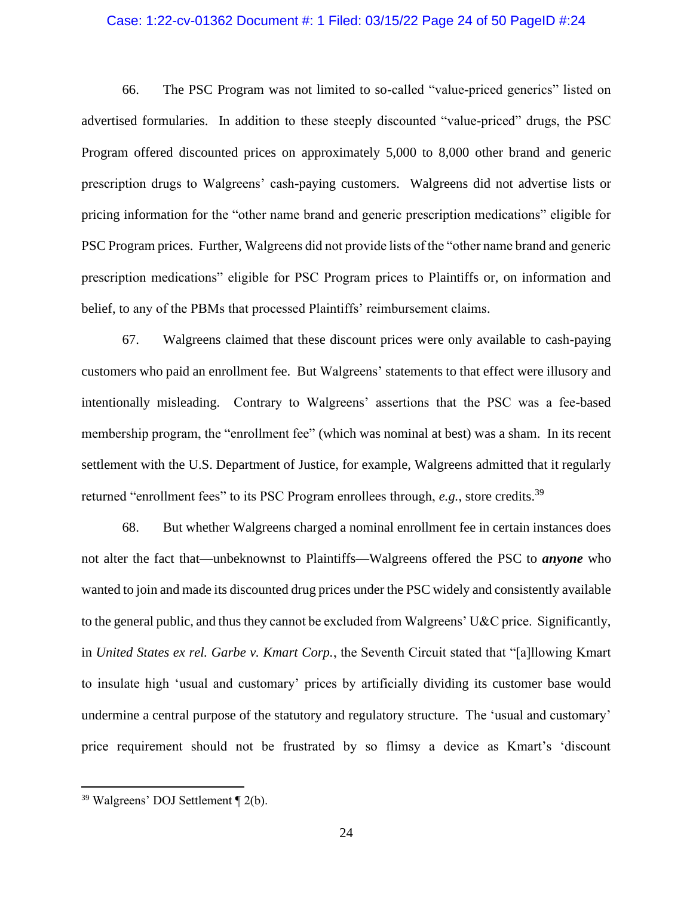### Case: 1:22-cv-01362 Document #: 1 Filed: 03/15/22 Page 24 of 50 PageID #:24

66. The PSC Program was not limited to so-called "value-priced generics" listed on advertised formularies. In addition to these steeply discounted "value-priced" drugs, the PSC Program offered discounted prices on approximately 5,000 to 8,000 other brand and generic prescription drugs to Walgreens' cash-paying customers. Walgreens did not advertise lists or pricing information for the "other name brand and generic prescription medications" eligible for PSC Program prices. Further, Walgreens did not provide lists of the "other name brand and generic prescription medications" eligible for PSC Program prices to Plaintiffs or, on information and belief, to any of the PBMs that processed Plaintiffs' reimbursement claims.

67. Walgreens claimed that these discount prices were only available to cash-paying customers who paid an enrollment fee. But Walgreens' statements to that effect were illusory and intentionally misleading. Contrary to Walgreens' assertions that the PSC was a fee-based membership program, the "enrollment fee" (which was nominal at best) was a sham. In its recent settlement with the U.S. Department of Justice, for example, Walgreens admitted that it regularly returned "enrollment fees" to its PSC Program enrollees through, *e.g.*, store credits.<sup>39</sup>

68. But whether Walgreens charged a nominal enrollment fee in certain instances does not alter the fact that—unbeknownst to Plaintiffs—Walgreens offered the PSC to *anyone* who wanted to join and made its discounted drug prices under the PSC widely and consistently available to the general public, and thus they cannot be excluded from Walgreens' U&C price. Significantly, in *United States ex rel. Garbe v. Kmart Corp.*, the Seventh Circuit stated that "[a]llowing Kmart to insulate high 'usual and customary' prices by artificially dividing its customer base would undermine a central purpose of the statutory and regulatory structure. The 'usual and customary' price requirement should not be frustrated by so flimsy a device as Kmart's 'discount

<sup>39</sup> Walgreens' DOJ Settlement ¶ 2(b).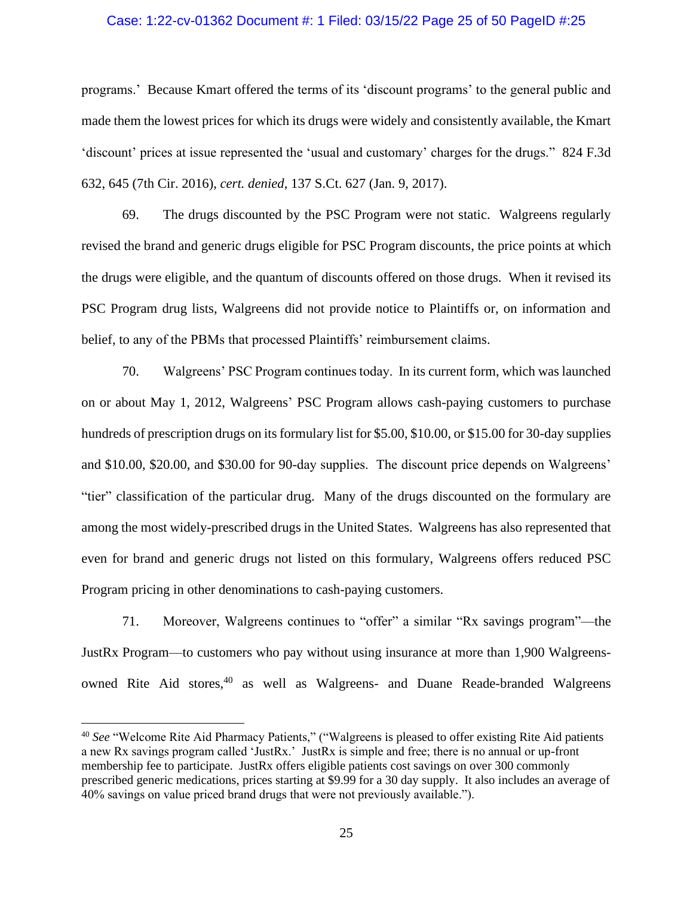## Case: 1:22-cv-01362 Document #: 1 Filed: 03/15/22 Page 25 of 50 PageID #:25

programs.' Because Kmart offered the terms of its 'discount programs' to the general public and made them the lowest prices for which its drugs were widely and consistently available, the Kmart 'discount' prices at issue represented the 'usual and customary' charges for the drugs." 824 F.3d 632, 645 (7th Cir. 2016), *cert. denied*, 137 S.Ct. 627 (Jan. 9, 2017).

69. The drugs discounted by the PSC Program were not static. Walgreens regularly revised the brand and generic drugs eligible for PSC Program discounts, the price points at which the drugs were eligible, and the quantum of discounts offered on those drugs. When it revised its PSC Program drug lists, Walgreens did not provide notice to Plaintiffs or, on information and belief, to any of the PBMs that processed Plaintiffs' reimbursement claims.

70. Walgreens' PSC Program continues today. In its current form, which was launched on or about May 1, 2012, Walgreens' PSC Program allows cash-paying customers to purchase hundreds of prescription drugs on its formulary list for \$5.00, \$10.00, or \$15.00 for 30-day supplies and \$10.00, \$20.00, and \$30.00 for 90-day supplies. The discount price depends on Walgreens' "tier" classification of the particular drug. Many of the drugs discounted on the formulary are among the most widely-prescribed drugs in the United States. Walgreens has also represented that even for brand and generic drugs not listed on this formulary, Walgreens offers reduced PSC Program pricing in other denominations to cash-paying customers.

71. Moreover, Walgreens continues to "offer" a similar "Rx savings program"—the JustRx Program—to customers who pay without using insurance at more than 1,900 Walgreensowned Rite Aid stores, <sup>40</sup> as well as Walgreens- and Duane Reade-branded Walgreens

<sup>40</sup> *See* "Welcome Rite Aid Pharmacy Patients," ("Walgreens is pleased to offer existing Rite Aid patients a new Rx savings program called 'JustRx.' JustRx is simple and free; there is no annual or up-front membership fee to participate. JustRx offers eligible patients cost savings on over 300 commonly prescribed generic medications, prices starting at \$9.99 for a 30 day supply. It also includes an average of 40% savings on value priced brand drugs that were not previously available.").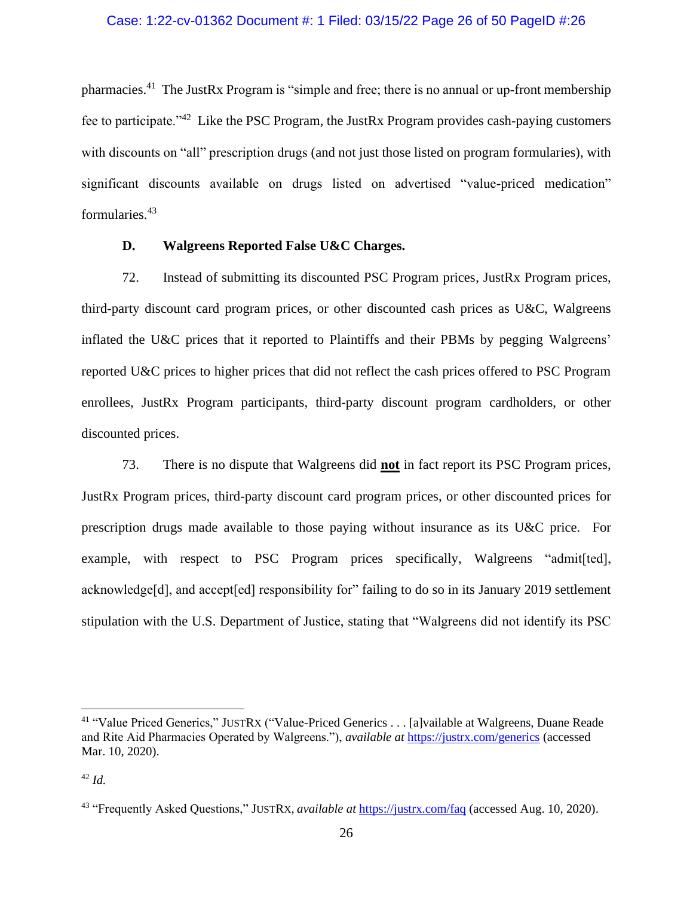pharmacies.<sup>41</sup> The JustRx Program is "simple and free; there is no annual or up-front membership fee to participate."<sup>42</sup> Like the PSC Program, the JustRx Program provides cash-paying customers with discounts on "all" prescription drugs (and not just those listed on program formularies), with significant discounts available on drugs listed on advertised "value-priced medication" formularies.<sup>43</sup>

## **D. Walgreens Reported False U&C Charges.**

72. Instead of submitting its discounted PSC Program prices, JustRx Program prices, third-party discount card program prices, or other discounted cash prices as U&C, Walgreens inflated the U&C prices that it reported to Plaintiffs and their PBMs by pegging Walgreens' reported U&C prices to higher prices that did not reflect the cash prices offered to PSC Program enrollees, JustRx Program participants, third-party discount program cardholders, or other discounted prices.

73. There is no dispute that Walgreens did **not** in fact report its PSC Program prices, JustRx Program prices, third-party discount card program prices, or other discounted prices for prescription drugs made available to those paying without insurance as its U&C price. For example, with respect to PSC Program prices specifically, Walgreens "admit[ted], acknowledge[d], and accept[ed] responsibility for" failing to do so in its January 2019 settlement stipulation with the U.S. Department of Justice, stating that "Walgreens did not identify its PSC

<sup>41</sup> "Value Priced Generics," JUSTRX ("Value-Priced Generics . . . [a]vailable at Walgreens, Duane Reade and Rite Aid Pharmacies Operated by Walgreens."), *available at* <https://justrx.com/generics> (accessed Mar. 10, 2020).

<sup>42</sup> *Id.*

<sup>43</sup> "Frequently Asked Questions," JUSTRX, *available at* <https://justrx.com/faq> (accessed Aug. 10, 2020).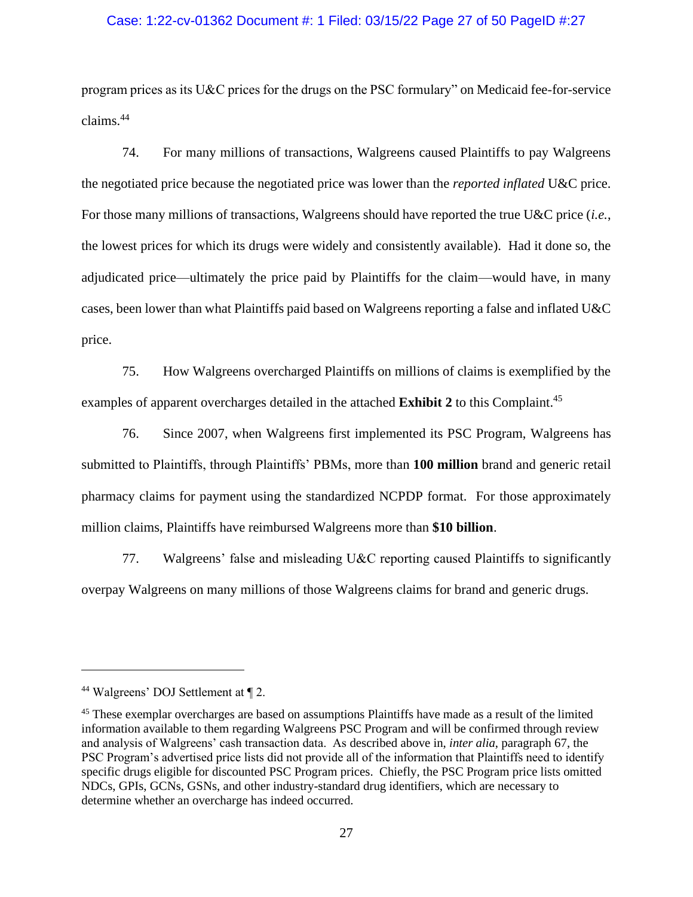### Case: 1:22-cv-01362 Document #: 1 Filed: 03/15/22 Page 27 of 50 PageID #:27

program prices as its U&C prices for the drugs on the PSC formulary" on Medicaid fee-for-service claims.<sup>44</sup>

74. For many millions of transactions, Walgreens caused Plaintiffs to pay Walgreens the negotiated price because the negotiated price was lower than the *reported inflated* U&C price. For those many millions of transactions, Walgreens should have reported the true U&C price (*i.e.*, the lowest prices for which its drugs were widely and consistently available). Had it done so, the adjudicated price—ultimately the price paid by Plaintiffs for the claim—would have, in many cases, been lower than what Plaintiffs paid based on Walgreens reporting a false and inflated U&C price.

75. How Walgreens overcharged Plaintiffs on millions of claims is exemplified by the examples of apparent overcharges detailed in the attached **Exhibit 2** to this Complaint.<sup>45</sup>

76. Since 2007, when Walgreens first implemented its PSC Program, Walgreens has submitted to Plaintiffs, through Plaintiffs' PBMs, more than **100 million** brand and generic retail pharmacy claims for payment using the standardized NCPDP format. For those approximately million claims, Plaintiffs have reimbursed Walgreens more than **\$10 billion**.

77. Walgreens' false and misleading U&C reporting caused Plaintiffs to significantly overpay Walgreens on many millions of those Walgreens claims for brand and generic drugs.

<sup>44</sup> Walgreens' DOJ Settlement at ¶ 2.

<sup>45</sup> These exemplar overcharges are based on assumptions Plaintiffs have made as a result of the limited information available to them regarding Walgreens PSC Program and will be confirmed through review and analysis of Walgreens' cash transaction data. As described above in, *inter alia*, paragraph 67, the PSC Program's advertised price lists did not provide all of the information that Plaintiffs need to identify specific drugs eligible for discounted PSC Program prices. Chiefly, the PSC Program price lists omitted NDCs, GPIs, GCNs, GSNs, and other industry-standard drug identifiers, which are necessary to determine whether an overcharge has indeed occurred.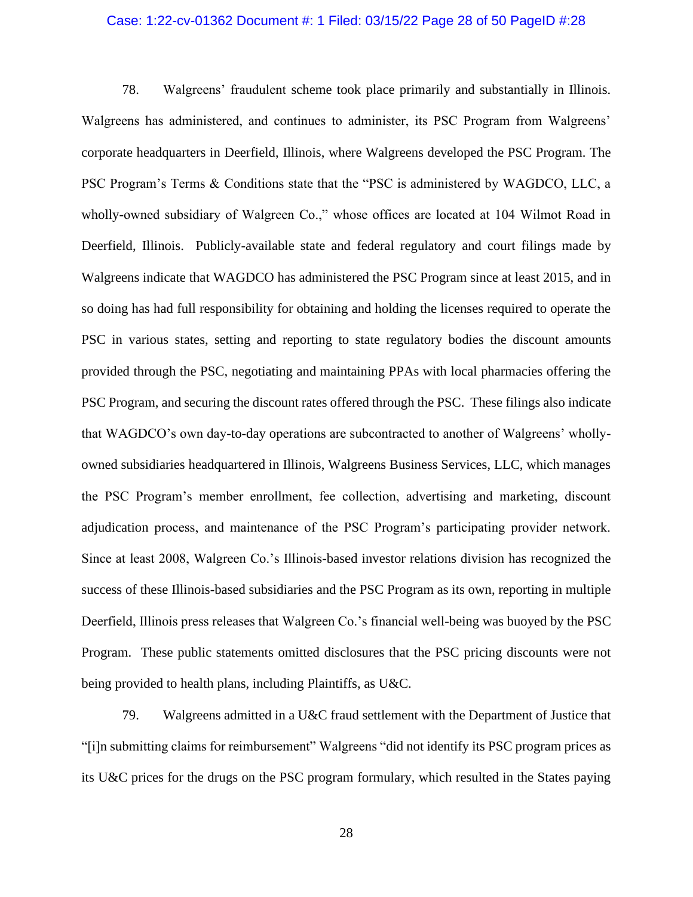## Case: 1:22-cv-01362 Document #: 1 Filed: 03/15/22 Page 28 of 50 PageID #:28

78. Walgreens' fraudulent scheme took place primarily and substantially in Illinois. Walgreens has administered, and continues to administer, its PSC Program from Walgreens' corporate headquarters in Deerfield, Illinois, where Walgreens developed the PSC Program. The PSC Program's Terms & Conditions state that the "PSC is administered by WAGDCO, LLC, a wholly-owned subsidiary of Walgreen Co.," whose offices are located at 104 Wilmot Road in Deerfield, Illinois. Publicly-available state and federal regulatory and court filings made by Walgreens indicate that WAGDCO has administered the PSC Program since at least 2015, and in so doing has had full responsibility for obtaining and holding the licenses required to operate the PSC in various states, setting and reporting to state regulatory bodies the discount amounts provided through the PSC, negotiating and maintaining PPAs with local pharmacies offering the PSC Program, and securing the discount rates offered through the PSC. These filings also indicate that WAGDCO's own day-to-day operations are subcontracted to another of Walgreens' whollyowned subsidiaries headquartered in Illinois, Walgreens Business Services, LLC, which manages the PSC Program's member enrollment, fee collection, advertising and marketing, discount adjudication process, and maintenance of the PSC Program's participating provider network. Since at least 2008, Walgreen Co.'s Illinois-based investor relations division has recognized the success of these Illinois-based subsidiaries and the PSC Program as its own, reporting in multiple Deerfield, Illinois press releases that Walgreen Co.'s financial well-being was buoyed by the PSC Program. These public statements omitted disclosures that the PSC pricing discounts were not being provided to health plans, including Plaintiffs, as U&C.

79. Walgreens admitted in a U&C fraud settlement with the Department of Justice that "[i]n submitting claims for reimbursement" Walgreens "did not identify its PSC program prices as its U&C prices for the drugs on the PSC program formulary, which resulted in the States paying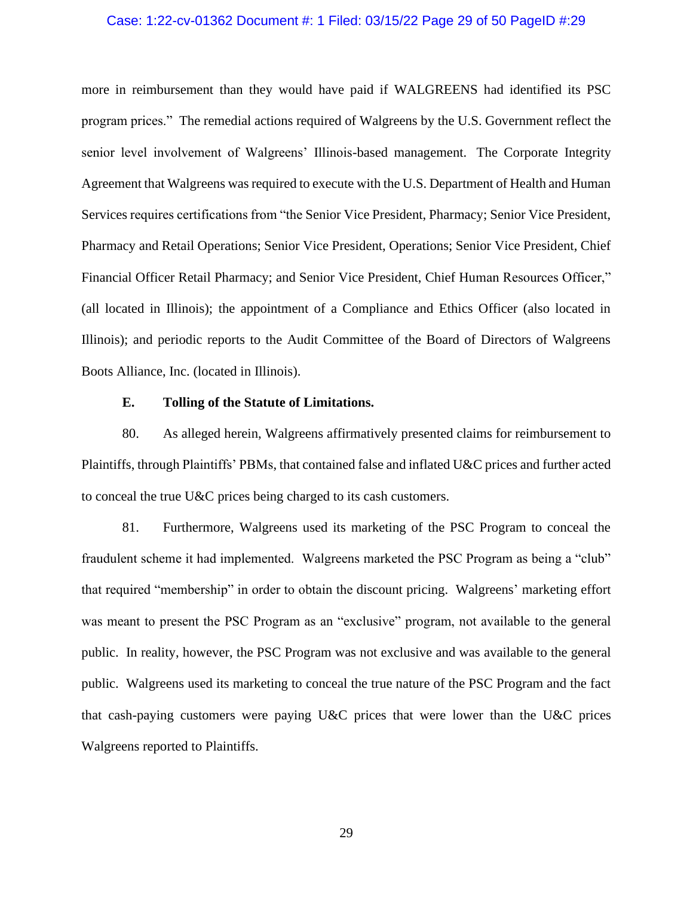## Case: 1:22-cv-01362 Document #: 1 Filed: 03/15/22 Page 29 of 50 PageID #:29

more in reimbursement than they would have paid if WALGREENS had identified its PSC program prices." The remedial actions required of Walgreens by the U.S. Government reflect the senior level involvement of Walgreens' Illinois-based management. The Corporate Integrity Agreement that Walgreens was required to execute with the U.S. Department of Health and Human Services requires certifications from "the Senior Vice President, Pharmacy; Senior Vice President, Pharmacy and Retail Operations; Senior Vice President, Operations; Senior Vice President, Chief Financial Officer Retail Pharmacy; and Senior Vice President, Chief Human Resources Officer," (all located in Illinois); the appointment of a Compliance and Ethics Officer (also located in Illinois); and periodic reports to the Audit Committee of the Board of Directors of Walgreens Boots Alliance, Inc. (located in Illinois).

### **E. Tolling of the Statute of Limitations.**

80. As alleged herein, Walgreens affirmatively presented claims for reimbursement to Plaintiffs, through Plaintiffs' PBMs, that contained false and inflated U&C prices and further acted to conceal the true U&C prices being charged to its cash customers.

81. Furthermore, Walgreens used its marketing of the PSC Program to conceal the fraudulent scheme it had implemented. Walgreens marketed the PSC Program as being a "club" that required "membership" in order to obtain the discount pricing. Walgreens' marketing effort was meant to present the PSC Program as an "exclusive" program, not available to the general public. In reality, however, the PSC Program was not exclusive and was available to the general public. Walgreens used its marketing to conceal the true nature of the PSC Program and the fact that cash-paying customers were paying U&C prices that were lower than the U&C prices Walgreens reported to Plaintiffs.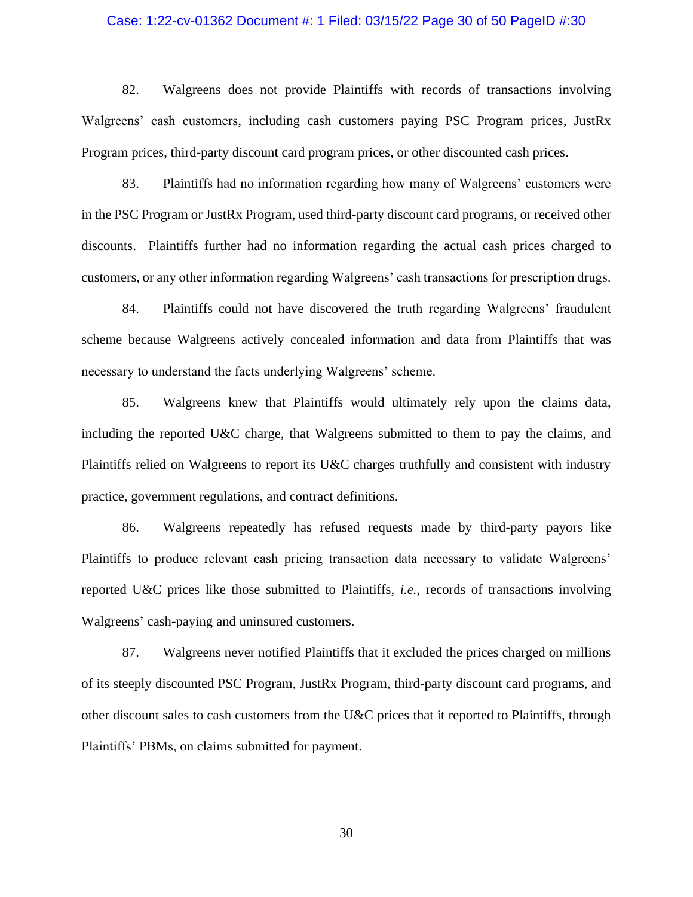## Case: 1:22-cv-01362 Document #: 1 Filed: 03/15/22 Page 30 of 50 PageID #:30

82. Walgreens does not provide Plaintiffs with records of transactions involving Walgreens' cash customers, including cash customers paying PSC Program prices, JustRx Program prices, third-party discount card program prices, or other discounted cash prices.

83. Plaintiffs had no information regarding how many of Walgreens' customers were in the PSC Program or JustRx Program, used third-party discount card programs, or received other discounts. Plaintiffs further had no information regarding the actual cash prices charged to customers, or any other information regarding Walgreens' cash transactions for prescription drugs.

84. Plaintiffs could not have discovered the truth regarding Walgreens' fraudulent scheme because Walgreens actively concealed information and data from Plaintiffs that was necessary to understand the facts underlying Walgreens' scheme.

85. Walgreens knew that Plaintiffs would ultimately rely upon the claims data, including the reported U&C charge, that Walgreens submitted to them to pay the claims, and Plaintiffs relied on Walgreens to report its U&C charges truthfully and consistent with industry practice, government regulations, and contract definitions.

86. Walgreens repeatedly has refused requests made by third-party payors like Plaintiffs to produce relevant cash pricing transaction data necessary to validate Walgreens' reported U&C prices like those submitted to Plaintiffs, *i.e.*, records of transactions involving Walgreens' cash-paying and uninsured customers.

87. Walgreens never notified Plaintiffs that it excluded the prices charged on millions of its steeply discounted PSC Program, JustRx Program, third-party discount card programs, and other discount sales to cash customers from the U&C prices that it reported to Plaintiffs, through Plaintiffs' PBMs, on claims submitted for payment.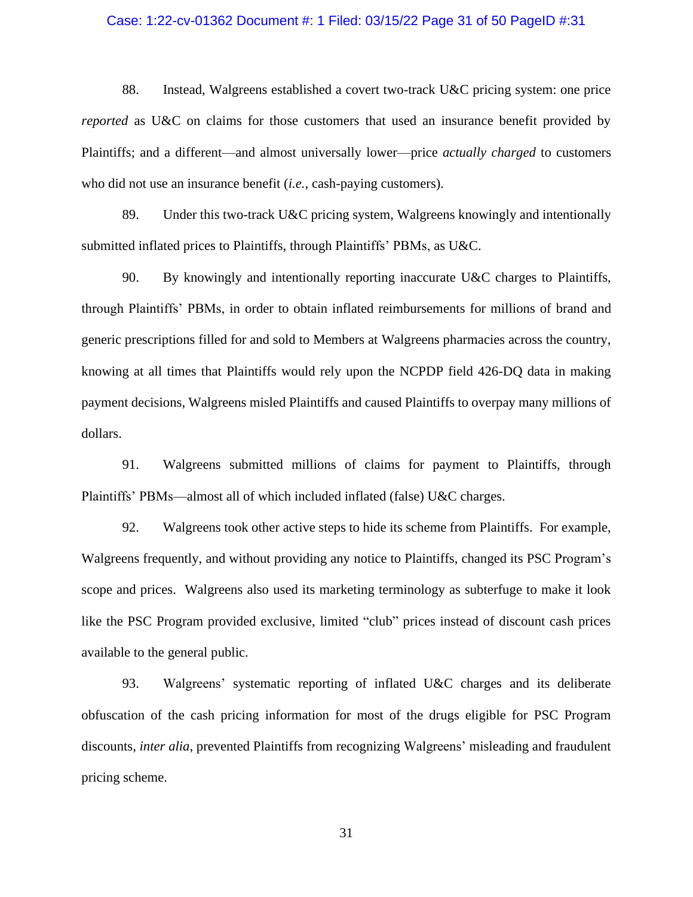### Case: 1:22-cv-01362 Document #: 1 Filed: 03/15/22 Page 31 of 50 PageID #:31

88. Instead, Walgreens established a covert two-track U&C pricing system: one price *reported* as U&C on claims for those customers that used an insurance benefit provided by Plaintiffs; and a different—and almost universally lower—price *actually charged* to customers who did not use an insurance benefit (*i.e.*, cash-paying customers).

89. Under this two-track U&C pricing system, Walgreens knowingly and intentionally submitted inflated prices to Plaintiffs, through Plaintiffs' PBMs, as U&C.

90. By knowingly and intentionally reporting inaccurate U&C charges to Plaintiffs, through Plaintiffs' PBMs, in order to obtain inflated reimbursements for millions of brand and generic prescriptions filled for and sold to Members at Walgreens pharmacies across the country, knowing at all times that Plaintiffs would rely upon the NCPDP field 426-DQ data in making payment decisions, Walgreens misled Plaintiffs and caused Plaintiffs to overpay many millions of dollars.

91. Walgreens submitted millions of claims for payment to Plaintiffs, through Plaintiffs' PBMs—almost all of which included inflated (false) U&C charges.

92. Walgreens took other active steps to hide its scheme from Plaintiffs. For example, Walgreens frequently, and without providing any notice to Plaintiffs, changed its PSC Program's scope and prices. Walgreens also used its marketing terminology as subterfuge to make it look like the PSC Program provided exclusive, limited "club" prices instead of discount cash prices available to the general public.

93. Walgreens' systematic reporting of inflated U&C charges and its deliberate obfuscation of the cash pricing information for most of the drugs eligible for PSC Program discounts, *inter alia*, prevented Plaintiffs from recognizing Walgreens' misleading and fraudulent pricing scheme.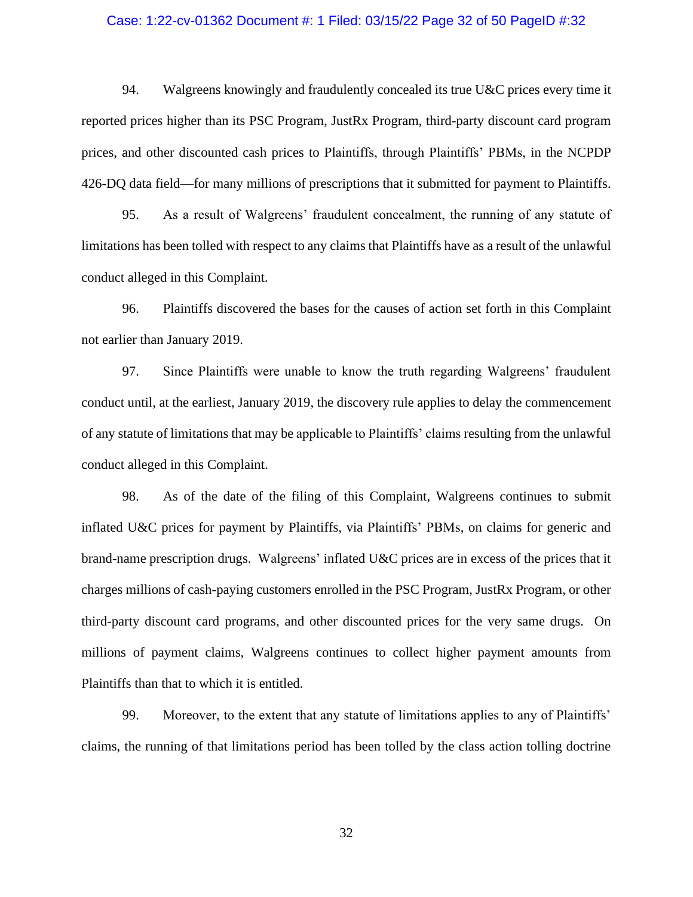### Case: 1:22-cv-01362 Document #: 1 Filed: 03/15/22 Page 32 of 50 PageID #:32

94. Walgreens knowingly and fraudulently concealed its true U&C prices every time it reported prices higher than its PSC Program, JustRx Program, third-party discount card program prices, and other discounted cash prices to Plaintiffs, through Plaintiffs' PBMs, in the NCPDP 426-DQ data field—for many millions of prescriptions that it submitted for payment to Plaintiffs.

95. As a result of Walgreens' fraudulent concealment, the running of any statute of limitations has been tolled with respect to any claims that Plaintiffs have as a result of the unlawful conduct alleged in this Complaint.

96. Plaintiffs discovered the bases for the causes of action set forth in this Complaint not earlier than January 2019.

97. Since Plaintiffs were unable to know the truth regarding Walgreens' fraudulent conduct until, at the earliest, January 2019, the discovery rule applies to delay the commencement of any statute of limitations that may be applicable to Plaintiffs' claims resulting from the unlawful conduct alleged in this Complaint.

98. As of the date of the filing of this Complaint, Walgreens continues to submit inflated U&C prices for payment by Plaintiffs, via Plaintiffs' PBMs, on claims for generic and brand-name prescription drugs. Walgreens' inflated U&C prices are in excess of the prices that it charges millions of cash-paying customers enrolled in the PSC Program, JustRx Program, or other third-party discount card programs, and other discounted prices for the very same drugs. On millions of payment claims, Walgreens continues to collect higher payment amounts from Plaintiffs than that to which it is entitled.

99. Moreover, to the extent that any statute of limitations applies to any of Plaintiffs' claims, the running of that limitations period has been tolled by the class action tolling doctrine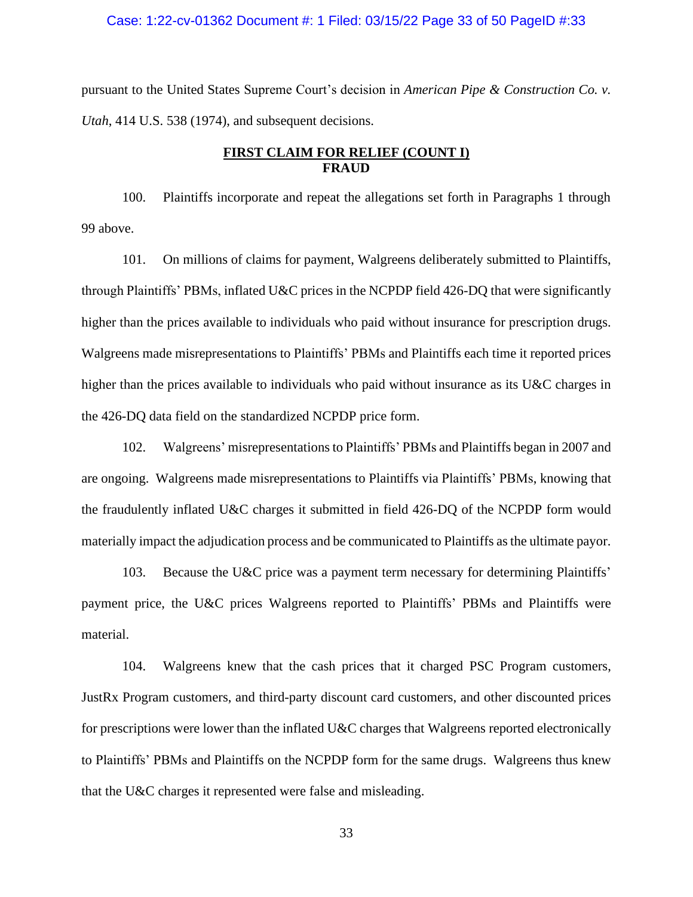#### Case: 1:22-cv-01362 Document #: 1 Filed: 03/15/22 Page 33 of 50 PageID #:33

pursuant to the United States Supreme Court's decision in *American Pipe & Construction Co. v. Utah*, 414 U.S. 538 (1974), and subsequent decisions.

## **FIRST CLAIM FOR RELIEF (COUNT I) FRAUD**

100. Plaintiffs incorporate and repeat the allegations set forth in Paragraphs 1 through 99 above.

101. On millions of claims for payment, Walgreens deliberately submitted to Plaintiffs, through Plaintiffs' PBMs, inflated U&C prices in the NCPDP field 426-DQ that were significantly higher than the prices available to individuals who paid without insurance for prescription drugs. Walgreens made misrepresentations to Plaintiffs' PBMs and Plaintiffs each time it reported prices higher than the prices available to individuals who paid without insurance as its U&C charges in the 426-DQ data field on the standardized NCPDP price form.

102. Walgreens' misrepresentations to Plaintiffs' PBMs and Plaintiffs began in 2007 and are ongoing. Walgreens made misrepresentations to Plaintiffs via Plaintiffs' PBMs, knowing that the fraudulently inflated U&C charges it submitted in field 426-DQ of the NCPDP form would materially impact the adjudication process and be communicated to Plaintiffs as the ultimate payor.

103. Because the U&C price was a payment term necessary for determining Plaintiffs' payment price, the U&C prices Walgreens reported to Plaintiffs' PBMs and Plaintiffs were material.

104. Walgreens knew that the cash prices that it charged PSC Program customers, JustRx Program customers, and third-party discount card customers, and other discounted prices for prescriptions were lower than the inflated U&C charges that Walgreens reported electronically to Plaintiffs' PBMs and Plaintiffs on the NCPDP form for the same drugs. Walgreens thus knew that the U&C charges it represented were false and misleading.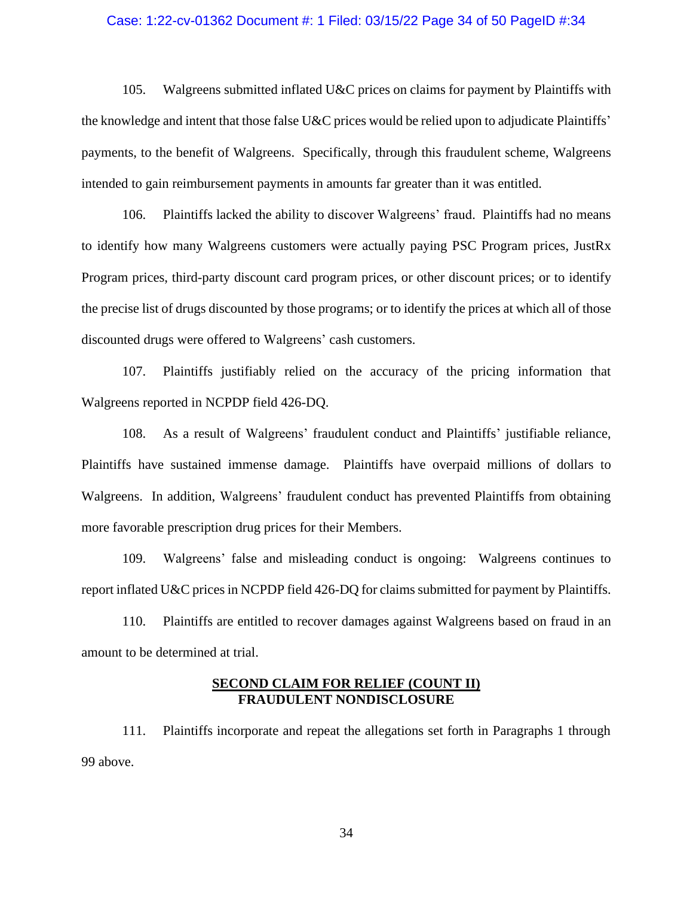### Case: 1:22-cv-01362 Document #: 1 Filed: 03/15/22 Page 34 of 50 PageID #:34

105. Walgreens submitted inflated U&C prices on claims for payment by Plaintiffs with the knowledge and intent that those false U&C prices would be relied upon to adjudicate Plaintiffs' payments, to the benefit of Walgreens. Specifically, through this fraudulent scheme, Walgreens intended to gain reimbursement payments in amounts far greater than it was entitled.

106. Plaintiffs lacked the ability to discover Walgreens' fraud. Plaintiffs had no means to identify how many Walgreens customers were actually paying PSC Program prices, JustRx Program prices, third-party discount card program prices, or other discount prices; or to identify the precise list of drugs discounted by those programs; or to identify the prices at which all of those discounted drugs were offered to Walgreens' cash customers.

107. Plaintiffs justifiably relied on the accuracy of the pricing information that Walgreens reported in NCPDP field 426-DQ.

108. As a result of Walgreens' fraudulent conduct and Plaintiffs' justifiable reliance, Plaintiffs have sustained immense damage. Plaintiffs have overpaid millions of dollars to Walgreens. In addition, Walgreens' fraudulent conduct has prevented Plaintiffs from obtaining more favorable prescription drug prices for their Members.

109. Walgreens' false and misleading conduct is ongoing: Walgreens continues to report inflated U&C prices in NCPDP field 426-DQ for claims submitted for payment by Plaintiffs.

110. Plaintiffs are entitled to recover damages against Walgreens based on fraud in an amount to be determined at trial.

## **SECOND CLAIM FOR RELIEF (COUNT II) FRAUDULENT NONDISCLOSURE**

111. Plaintiffs incorporate and repeat the allegations set forth in Paragraphs 1 through 99 above.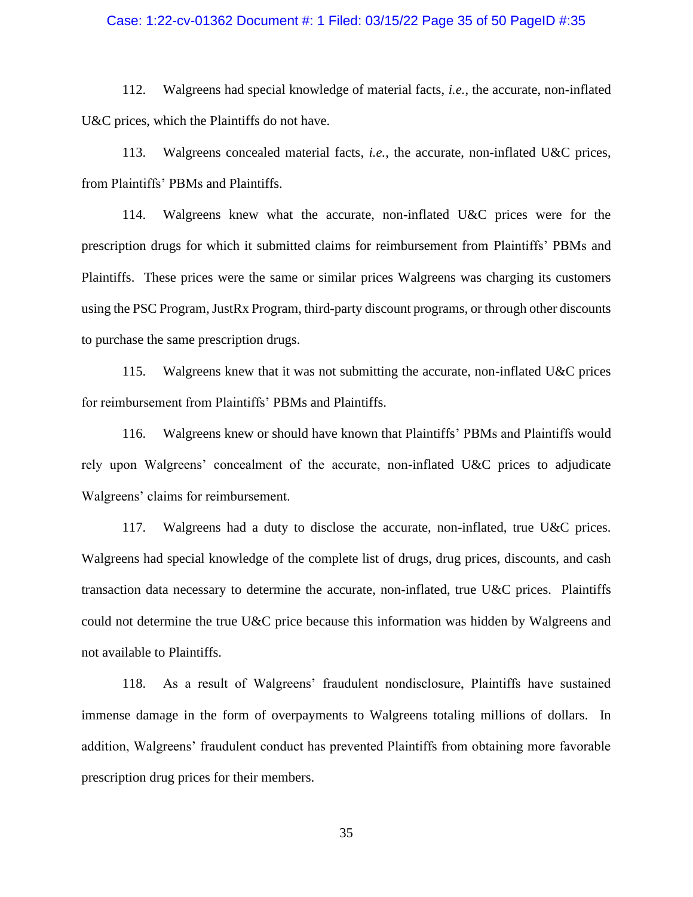### Case: 1:22-cv-01362 Document #: 1 Filed: 03/15/22 Page 35 of 50 PageID #:35

112. Walgreens had special knowledge of material facts, *i.e.*, the accurate, non-inflated U&C prices, which the Plaintiffs do not have.

113. Walgreens concealed material facts, *i.e.*, the accurate, non-inflated U&C prices, from Plaintiffs' PBMs and Plaintiffs.

114. Walgreens knew what the accurate, non-inflated U&C prices were for the prescription drugs for which it submitted claims for reimbursement from Plaintiffs' PBMs and Plaintiffs. These prices were the same or similar prices Walgreens was charging its customers using the PSC Program, JustRx Program, third-party discount programs, or through other discounts to purchase the same prescription drugs.

115. Walgreens knew that it was not submitting the accurate, non-inflated U&C prices for reimbursement from Plaintiffs' PBMs and Plaintiffs.

116. Walgreens knew or should have known that Plaintiffs' PBMs and Plaintiffs would rely upon Walgreens' concealment of the accurate, non-inflated U&C prices to adjudicate Walgreens' claims for reimbursement.

117. Walgreens had a duty to disclose the accurate, non-inflated, true U&C prices. Walgreens had special knowledge of the complete list of drugs, drug prices, discounts, and cash transaction data necessary to determine the accurate, non-inflated, true U&C prices. Plaintiffs could not determine the true U&C price because this information was hidden by Walgreens and not available to Plaintiffs.

118. As a result of Walgreens' fraudulent nondisclosure, Plaintiffs have sustained immense damage in the form of overpayments to Walgreens totaling millions of dollars. In addition, Walgreens' fraudulent conduct has prevented Plaintiffs from obtaining more favorable prescription drug prices for their members.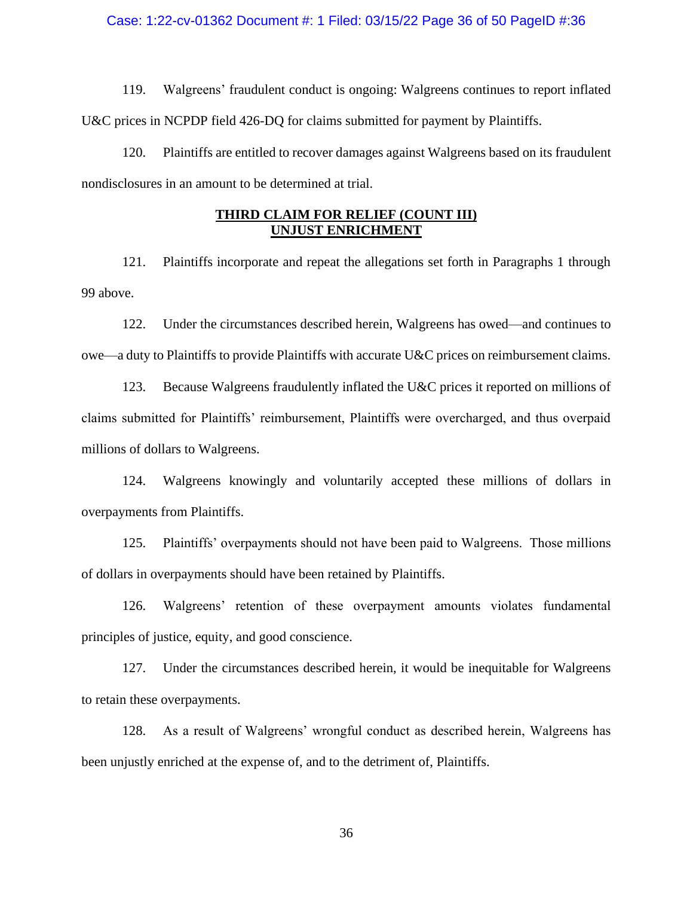### Case: 1:22-cv-01362 Document #: 1 Filed: 03/15/22 Page 36 of 50 PageID #:36

119. Walgreens' fraudulent conduct is ongoing: Walgreens continues to report inflated U&C prices in NCPDP field 426-DQ for claims submitted for payment by Plaintiffs.

120. Plaintiffs are entitled to recover damages against Walgreens based on its fraudulent nondisclosures in an amount to be determined at trial.

# **THIRD CLAIM FOR RELIEF (COUNT III) UNJUST ENRICHMENT**

121. Plaintiffs incorporate and repeat the allegations set forth in Paragraphs 1 through 99 above.

122. Under the circumstances described herein, Walgreens has owed—and continues to owe—a duty to Plaintiffs to provide Plaintiffs with accurate U&C prices on reimbursement claims.

123. Because Walgreens fraudulently inflated the U&C prices it reported on millions of claims submitted for Plaintiffs' reimbursement, Plaintiffs were overcharged, and thus overpaid millions of dollars to Walgreens.

124. Walgreens knowingly and voluntarily accepted these millions of dollars in overpayments from Plaintiffs.

125. Plaintiffs' overpayments should not have been paid to Walgreens. Those millions of dollars in overpayments should have been retained by Plaintiffs.

126. Walgreens' retention of these overpayment amounts violates fundamental principles of justice, equity, and good conscience.

127. Under the circumstances described herein, it would be inequitable for Walgreens to retain these overpayments.

128. As a result of Walgreens' wrongful conduct as described herein, Walgreens has been unjustly enriched at the expense of, and to the detriment of, Plaintiffs.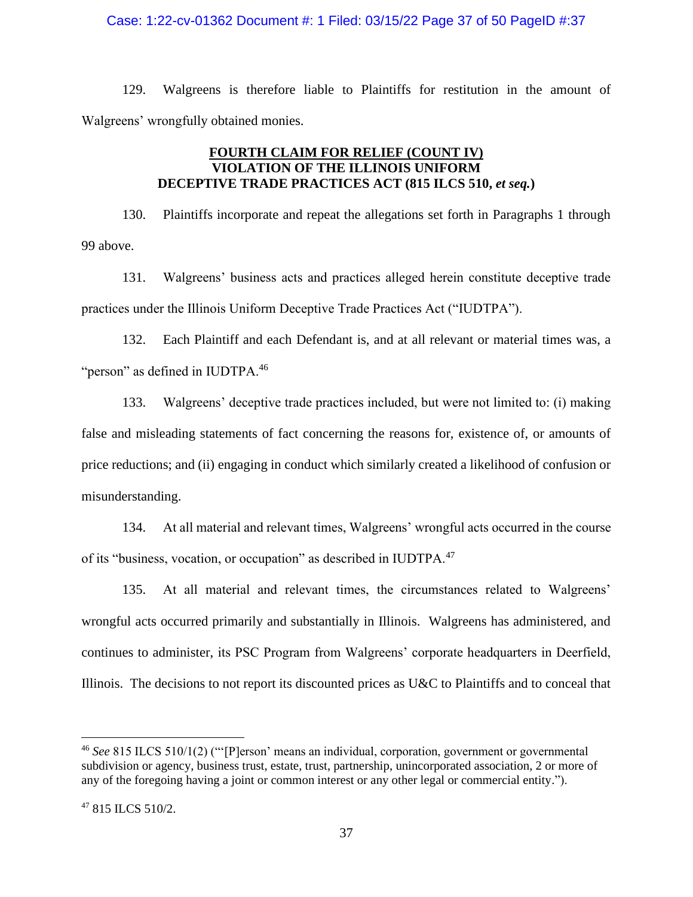### Case: 1:22-cv-01362 Document #: 1 Filed: 03/15/22 Page 37 of 50 PageID #:37

129. Walgreens is therefore liable to Plaintiffs for restitution in the amount of Walgreens' wrongfully obtained monies.

# **FOURTH CLAIM FOR RELIEF (COUNT IV) VIOLATION OF THE ILLINOIS UNIFORM DECEPTIVE TRADE PRACTICES ACT (815 ILCS 510,** *et seq.***)**

130. Plaintiffs incorporate and repeat the allegations set forth in Paragraphs 1 through 99 above.

131. Walgreens' business acts and practices alleged herein constitute deceptive trade practices under the Illinois Uniform Deceptive Trade Practices Act ("IUDTPA").

132. Each Plaintiff and each Defendant is, and at all relevant or material times was, a "person" as defined in IUDTPA.<sup>46</sup>

133. Walgreens' deceptive trade practices included, but were not limited to: (i) making false and misleading statements of fact concerning the reasons for, existence of, or amounts of price reductions; and (ii) engaging in conduct which similarly created a likelihood of confusion or misunderstanding.

134. At all material and relevant times, Walgreens' wrongful acts occurred in the course of its "business, vocation, or occupation" as described in IUDTPA.<sup>47</sup>

135. At all material and relevant times, the circumstances related to Walgreens' wrongful acts occurred primarily and substantially in Illinois. Walgreens has administered, and continues to administer, its PSC Program from Walgreens' corporate headquarters in Deerfield, Illinois. The decisions to not report its discounted prices as U&C to Plaintiffs and to conceal that

<sup>46</sup> *See* 815 ILCS 510/1(2) ("'[P]erson' means an individual, corporation, government or governmental subdivision or agency, business trust, estate, trust, partnership, unincorporated association, 2 or more of any of the foregoing having a joint or common interest or any other legal or commercial entity.").

<sup>47</sup> 815 ILCS 510/2.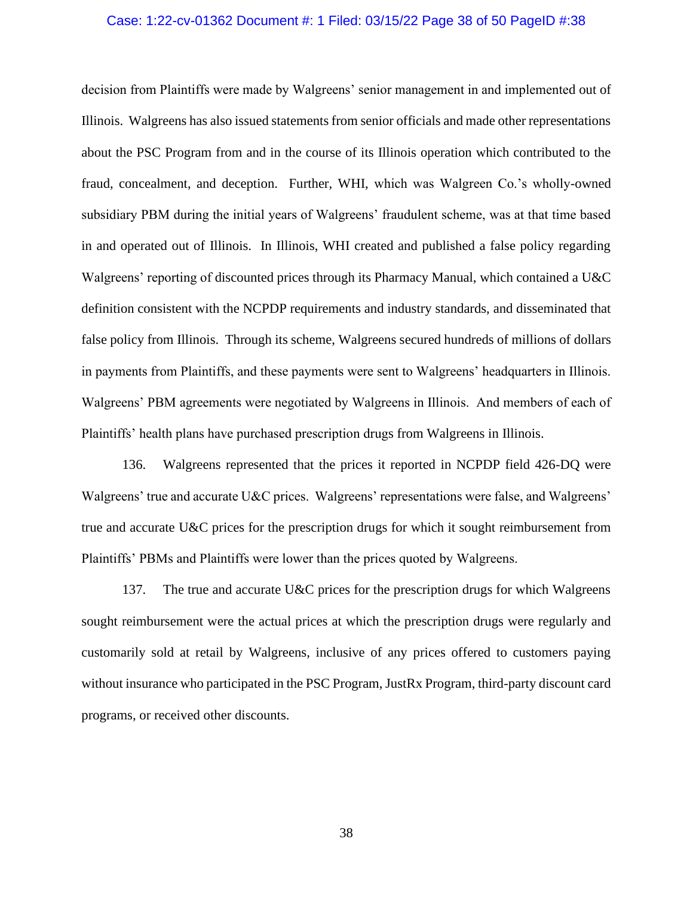### Case: 1:22-cv-01362 Document #: 1 Filed: 03/15/22 Page 38 of 50 PageID #:38

decision from Plaintiffs were made by Walgreens' senior management in and implemented out of Illinois. Walgreens has also issued statements from senior officials and made other representations about the PSC Program from and in the course of its Illinois operation which contributed to the fraud, concealment, and deception. Further, WHI, which was Walgreen Co.'s wholly-owned subsidiary PBM during the initial years of Walgreens' fraudulent scheme, was at that time based in and operated out of Illinois. In Illinois, WHI created and published a false policy regarding Walgreens' reporting of discounted prices through its Pharmacy Manual, which contained a U&C definition consistent with the NCPDP requirements and industry standards, and disseminated that false policy from Illinois. Through its scheme, Walgreens secured hundreds of millions of dollars in payments from Plaintiffs, and these payments were sent to Walgreens' headquarters in Illinois. Walgreens' PBM agreements were negotiated by Walgreens in Illinois. And members of each of Plaintiffs' health plans have purchased prescription drugs from Walgreens in Illinois.

136. Walgreens represented that the prices it reported in NCPDP field 426-DQ were Walgreens' true and accurate U&C prices. Walgreens' representations were false, and Walgreens' true and accurate U&C prices for the prescription drugs for which it sought reimbursement from Plaintiffs' PBMs and Plaintiffs were lower than the prices quoted by Walgreens.

137. The true and accurate U&C prices for the prescription drugs for which Walgreens sought reimbursement were the actual prices at which the prescription drugs were regularly and customarily sold at retail by Walgreens, inclusive of any prices offered to customers paying without insurance who participated in the PSC Program, JustRx Program, third-party discount card programs, or received other discounts.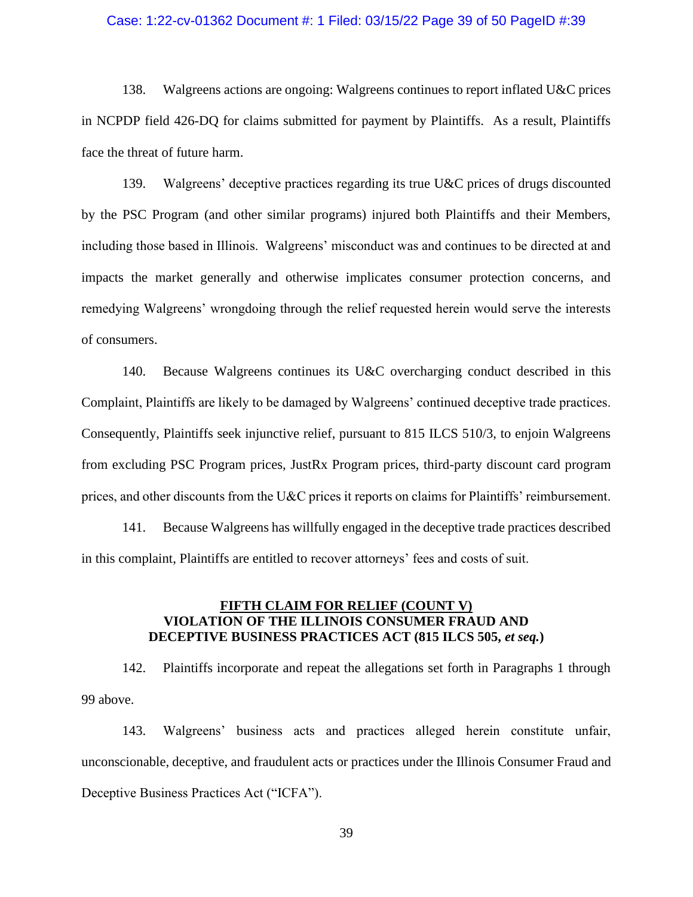### Case: 1:22-cv-01362 Document #: 1 Filed: 03/15/22 Page 39 of 50 PageID #:39

138. Walgreens actions are ongoing: Walgreens continues to report inflated U&C prices in NCPDP field 426-DQ for claims submitted for payment by Plaintiffs. As a result, Plaintiffs face the threat of future harm.

139. Walgreens' deceptive practices regarding its true U&C prices of drugs discounted by the PSC Program (and other similar programs) injured both Plaintiffs and their Members, including those based in Illinois. Walgreens' misconduct was and continues to be directed at and impacts the market generally and otherwise implicates consumer protection concerns, and remedying Walgreens' wrongdoing through the relief requested herein would serve the interests of consumers.

140. Because Walgreens continues its U&C overcharging conduct described in this Complaint, Plaintiffs are likely to be damaged by Walgreens' continued deceptive trade practices. Consequently, Plaintiffs seek injunctive relief, pursuant to 815 ILCS 510/3, to enjoin Walgreens from excluding PSC Program prices, JustRx Program prices, third-party discount card program prices, and other discounts from the U&C prices it reports on claims for Plaintiffs' reimbursement.

141. Because Walgreens has willfully engaged in the deceptive trade practices described in this complaint, Plaintiffs are entitled to recover attorneys' fees and costs of suit.

# **FIFTH CLAIM FOR RELIEF (COUNT V) VIOLATION OF THE ILLINOIS CONSUMER FRAUD AND DECEPTIVE BUSINESS PRACTICES ACT (815 ILCS 505,** *et seq.***)**

142. Plaintiffs incorporate and repeat the allegations set forth in Paragraphs 1 through 99 above.

143. Walgreens' business acts and practices alleged herein constitute unfair, unconscionable, deceptive, and fraudulent acts or practices under the Illinois Consumer Fraud and Deceptive Business Practices Act ("ICFA").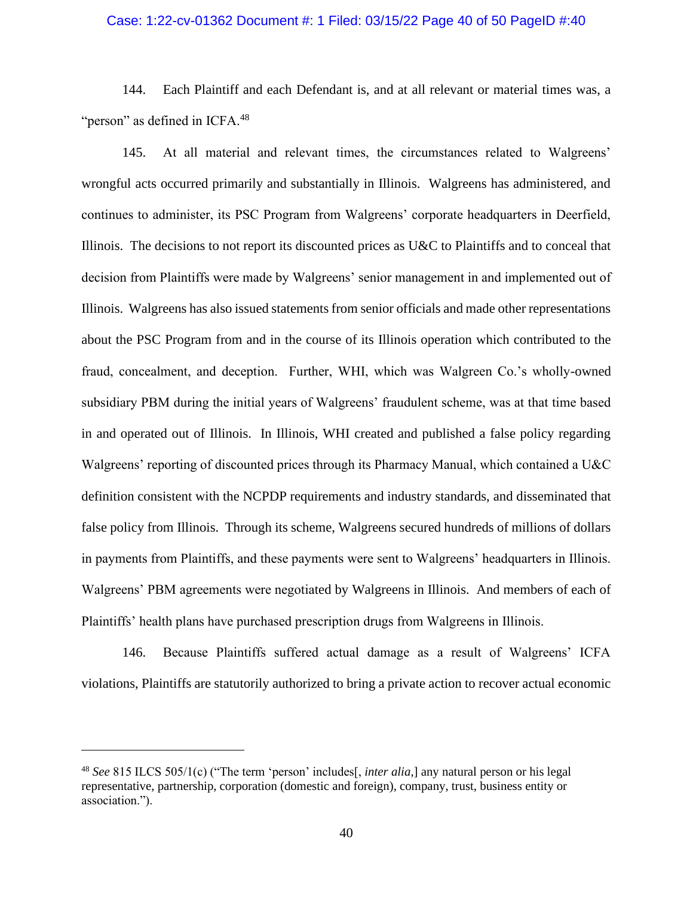### Case: 1:22-cv-01362 Document #: 1 Filed: 03/15/22 Page 40 of 50 PageID #:40

144. Each Plaintiff and each Defendant is, and at all relevant or material times was, a "person" as defined in ICFA.<sup>48</sup>

145. At all material and relevant times, the circumstances related to Walgreens' wrongful acts occurred primarily and substantially in Illinois. Walgreens has administered, and continues to administer, its PSC Program from Walgreens' corporate headquarters in Deerfield, Illinois. The decisions to not report its discounted prices as U&C to Plaintiffs and to conceal that decision from Plaintiffs were made by Walgreens' senior management in and implemented out of Illinois. Walgreens has also issued statements from senior officials and made other representations about the PSC Program from and in the course of its Illinois operation which contributed to the fraud, concealment, and deception. Further, WHI, which was Walgreen Co.'s wholly-owned subsidiary PBM during the initial years of Walgreens' fraudulent scheme, was at that time based in and operated out of Illinois. In Illinois, WHI created and published a false policy regarding Walgreens' reporting of discounted prices through its Pharmacy Manual, which contained a U&C definition consistent with the NCPDP requirements and industry standards, and disseminated that false policy from Illinois. Through its scheme, Walgreens secured hundreds of millions of dollars in payments from Plaintiffs, and these payments were sent to Walgreens' headquarters in Illinois. Walgreens' PBM agreements were negotiated by Walgreens in Illinois. And members of each of Plaintiffs' health plans have purchased prescription drugs from Walgreens in Illinois.

146. Because Plaintiffs suffered actual damage as a result of Walgreens' ICFA violations, Plaintiffs are statutorily authorized to bring a private action to recover actual economic

<sup>48</sup> *See* 815 ILCS 505/1(c) ("The term 'person' includes[, *inter alia*,] any natural person or his legal representative, partnership, corporation (domestic and foreign), company, trust, business entity or association.").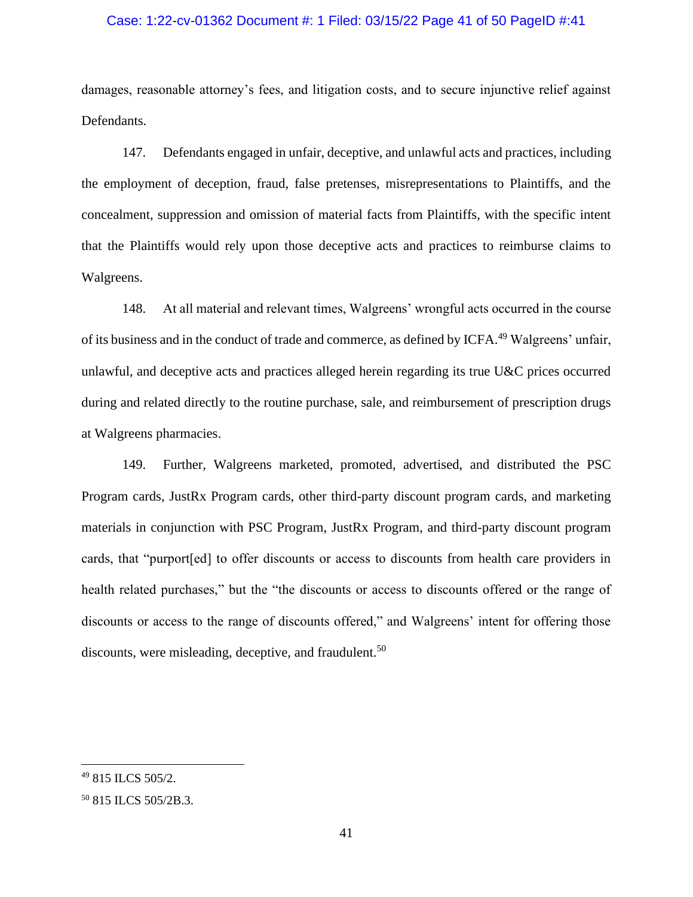### Case: 1:22-cv-01362 Document #: 1 Filed: 03/15/22 Page 41 of 50 PageID #:41

damages, reasonable attorney's fees, and litigation costs, and to secure injunctive relief against Defendants.

147. Defendants engaged in unfair, deceptive, and unlawful acts and practices, including the employment of deception, fraud, false pretenses, misrepresentations to Plaintiffs, and the concealment, suppression and omission of material facts from Plaintiffs, with the specific intent that the Plaintiffs would rely upon those deceptive acts and practices to reimburse claims to Walgreens.

148. At all material and relevant times, Walgreens' wrongful acts occurred in the course of its business and in the conduct of trade and commerce, as defined by ICFA.<sup>49</sup> Walgreens' unfair, unlawful, and deceptive acts and practices alleged herein regarding its true U&C prices occurred during and related directly to the routine purchase, sale, and reimbursement of prescription drugs at Walgreens pharmacies.

149. Further, Walgreens marketed, promoted, advertised, and distributed the PSC Program cards, JustRx Program cards, other third-party discount program cards, and marketing materials in conjunction with PSC Program, JustRx Program, and third-party discount program cards, that "purport[ed] to offer discounts or access to discounts from health care providers in health related purchases," but the "the discounts or access to discounts offered or the range of discounts or access to the range of discounts offered," and Walgreens' intent for offering those discounts, were misleading, deceptive, and fraudulent.<sup>50</sup>

<sup>49</sup> 815 ILCS 505/2.

<sup>50</sup> 815 ILCS 505/2B.3.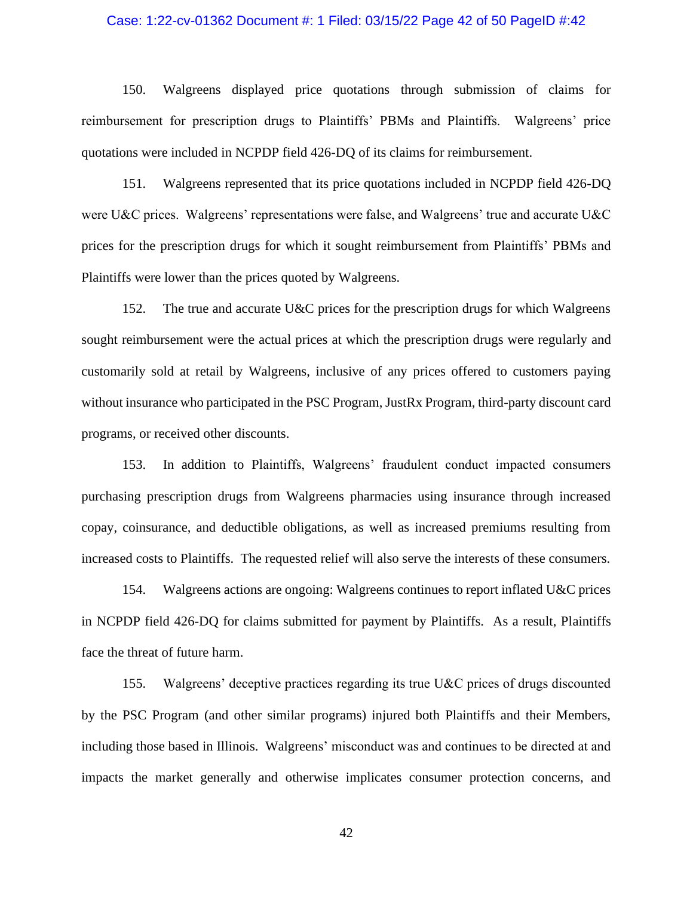### Case: 1:22-cv-01362 Document #: 1 Filed: 03/15/22 Page 42 of 50 PageID #:42

150. Walgreens displayed price quotations through submission of claims for reimbursement for prescription drugs to Plaintiffs' PBMs and Plaintiffs. Walgreens' price quotations were included in NCPDP field 426-DQ of its claims for reimbursement.

151. Walgreens represented that its price quotations included in NCPDP field 426-DQ were U&C prices. Walgreens' representations were false, and Walgreens' true and accurate U&C prices for the prescription drugs for which it sought reimbursement from Plaintiffs' PBMs and Plaintiffs were lower than the prices quoted by Walgreens.

152. The true and accurate U&C prices for the prescription drugs for which Walgreens sought reimbursement were the actual prices at which the prescription drugs were regularly and customarily sold at retail by Walgreens, inclusive of any prices offered to customers paying without insurance who participated in the PSC Program, JustRx Program, third-party discount card programs, or received other discounts.

153. In addition to Plaintiffs, Walgreens' fraudulent conduct impacted consumers purchasing prescription drugs from Walgreens pharmacies using insurance through increased copay, coinsurance, and deductible obligations, as well as increased premiums resulting from increased costs to Plaintiffs. The requested relief will also serve the interests of these consumers.

154. Walgreens actions are ongoing: Walgreens continues to report inflated U&C prices in NCPDP field 426-DQ for claims submitted for payment by Plaintiffs. As a result, Plaintiffs face the threat of future harm.

155. Walgreens' deceptive practices regarding its true U&C prices of drugs discounted by the PSC Program (and other similar programs) injured both Plaintiffs and their Members, including those based in Illinois. Walgreens' misconduct was and continues to be directed at and impacts the market generally and otherwise implicates consumer protection concerns, and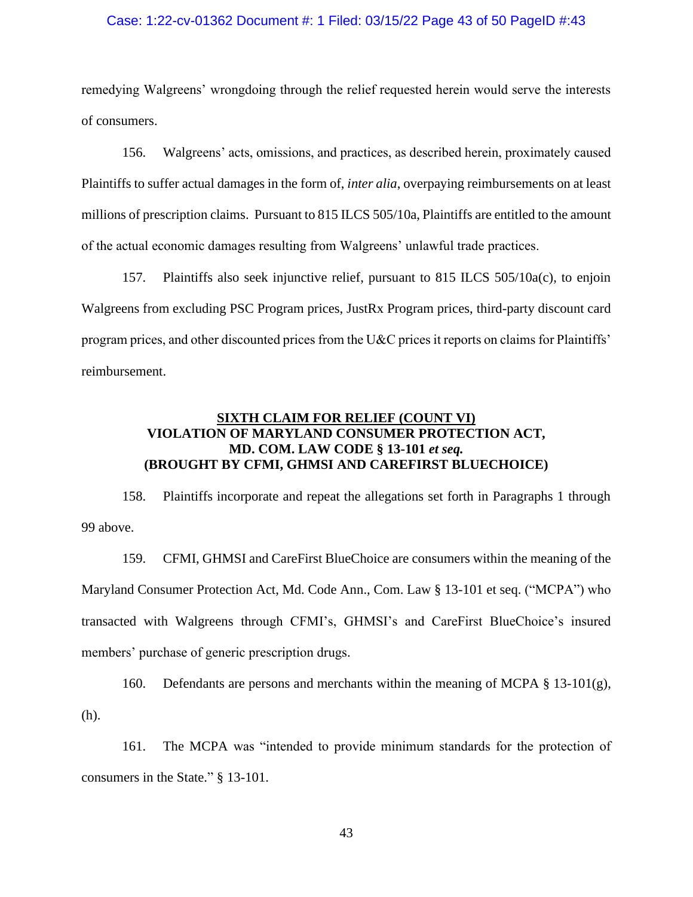### Case: 1:22-cv-01362 Document #: 1 Filed: 03/15/22 Page 43 of 50 PageID #:43

remedying Walgreens' wrongdoing through the relief requested herein would serve the interests of consumers.

156. Walgreens' acts, omissions, and practices, as described herein, proximately caused Plaintiffs to suffer actual damages in the form of, *inter alia*, overpaying reimbursements on at least millions of prescription claims. Pursuant to 815 ILCS 505/10a, Plaintiffs are entitled to the amount of the actual economic damages resulting from Walgreens' unlawful trade practices.

157. Plaintiffs also seek injunctive relief, pursuant to 815 ILCS 505/10a(c), to enjoin Walgreens from excluding PSC Program prices, JustRx Program prices, third-party discount card program prices, and other discounted prices from the U&C prices it reports on claims for Plaintiffs' reimbursement.

# **SIXTH CLAIM FOR RELIEF (COUNT VI) VIOLATION OF MARYLAND CONSUMER PROTECTION ACT, MD. COM. LAW CODE § 13-101** *et seq.* **(BROUGHT BY CFMI, GHMSI AND CAREFIRST BLUECHOICE)**

158. Plaintiffs incorporate and repeat the allegations set forth in Paragraphs 1 through 99 above.

159. CFMI, GHMSI and CareFirst BlueChoice are consumers within the meaning of the Maryland Consumer Protection Act, Md. Code Ann., Com. Law § 13-101 et seq. ("MCPA") who transacted with Walgreens through CFMI's, GHMSI's and CareFirst BlueChoice's insured members' purchase of generic prescription drugs.

160. Defendants are persons and merchants within the meaning of MCPA  $\S$  13-101(g), (h).

161. The MCPA was "intended to provide minimum standards for the protection of consumers in the State." § 13-101.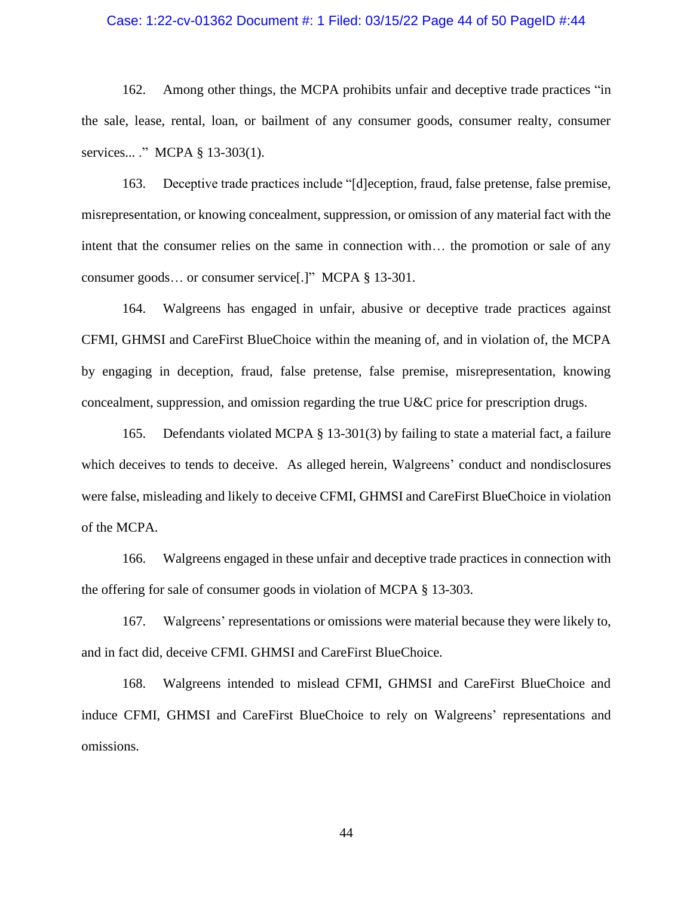#### Case: 1:22-cv-01362 Document #: 1 Filed: 03/15/22 Page 44 of 50 PageID #:44

162. Among other things, the MCPA prohibits unfair and deceptive trade practices "in the sale, lease, rental, loan, or bailment of any consumer goods, consumer realty, consumer services... ." MCPA § 13-303(1).

163. Deceptive trade practices include "[d]eception, fraud, false pretense, false premise, misrepresentation, or knowing concealment, suppression, or omission of any material fact with the intent that the consumer relies on the same in connection with… the promotion or sale of any consumer goods… or consumer service[.]" MCPA § 13-301.

164. Walgreens has engaged in unfair, abusive or deceptive trade practices against CFMI, GHMSI and CareFirst BlueChoice within the meaning of, and in violation of, the MCPA by engaging in deception, fraud, false pretense, false premise, misrepresentation, knowing concealment, suppression, and omission regarding the true U&C price for prescription drugs.

165. Defendants violated MCPA § 13-301(3) by failing to state a material fact, a failure which deceives to tends to deceive. As alleged herein, Walgreens' conduct and nondisclosures were false, misleading and likely to deceive CFMI, GHMSI and CareFirst BlueChoice in violation of the MCPA.

166. Walgreens engaged in these unfair and deceptive trade practices in connection with the offering for sale of consumer goods in violation of MCPA § 13-303.

167. Walgreens' representations or omissions were material because they were likely to, and in fact did, deceive CFMI. GHMSI and CareFirst BlueChoice.

168. Walgreens intended to mislead CFMI, GHMSI and CareFirst BlueChoice and induce CFMI, GHMSI and CareFirst BlueChoice to rely on Walgreens' representations and omissions.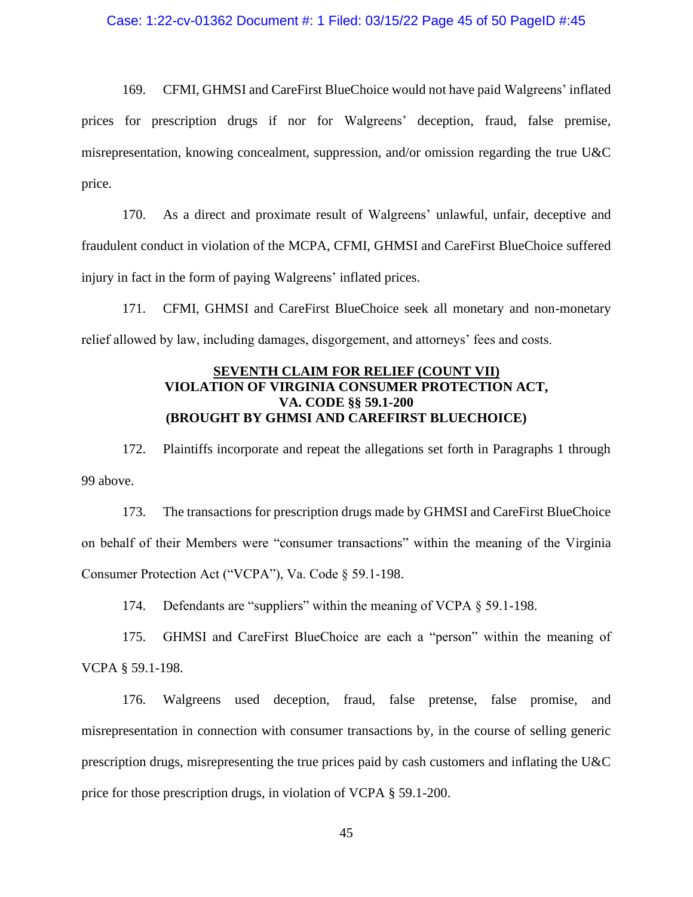169. CFMI, GHMSI and CareFirst BlueChoice would not have paid Walgreens' inflated prices for prescription drugs if nor for Walgreens' deception, fraud, false premise, misrepresentation, knowing concealment, suppression, and/or omission regarding the true U&C price.

170. As a direct and proximate result of Walgreens' unlawful, unfair, deceptive and fraudulent conduct in violation of the MCPA, CFMI, GHMSI and CareFirst BlueChoice suffered injury in fact in the form of paying Walgreens' inflated prices.

171. CFMI, GHMSI and CareFirst BlueChoice seek all monetary and non-monetary relief allowed by law, including damages, disgorgement, and attorneys' fees and costs.

## **SEVENTH CLAIM FOR RELIEF (COUNT VII) VIOLATION OF VIRGINIA CONSUMER PROTECTION ACT, VA. CODE §§ 59.1-200 (BROUGHT BY GHMSI AND CAREFIRST BLUECHOICE)**

172. Plaintiffs incorporate and repeat the allegations set forth in Paragraphs 1 through 99 above.

173. The transactions for prescription drugs made by GHMSI and CareFirst BlueChoice on behalf of their Members were "consumer transactions" within the meaning of the Virginia Consumer Protection Act ("VCPA"), Va. Code § 59.1-198.

174. Defendants are "suppliers" within the meaning of VCPA § 59.1-198.

175. GHMSI and CareFirst BlueChoice are each a "person" within the meaning of VCPA § 59.1-198.

176. Walgreens used deception, fraud, false pretense, false promise, and misrepresentation in connection with consumer transactions by, in the course of selling generic prescription drugs, misrepresenting the true prices paid by cash customers and inflating the U&C price for those prescription drugs, in violation of VCPA § 59.1-200.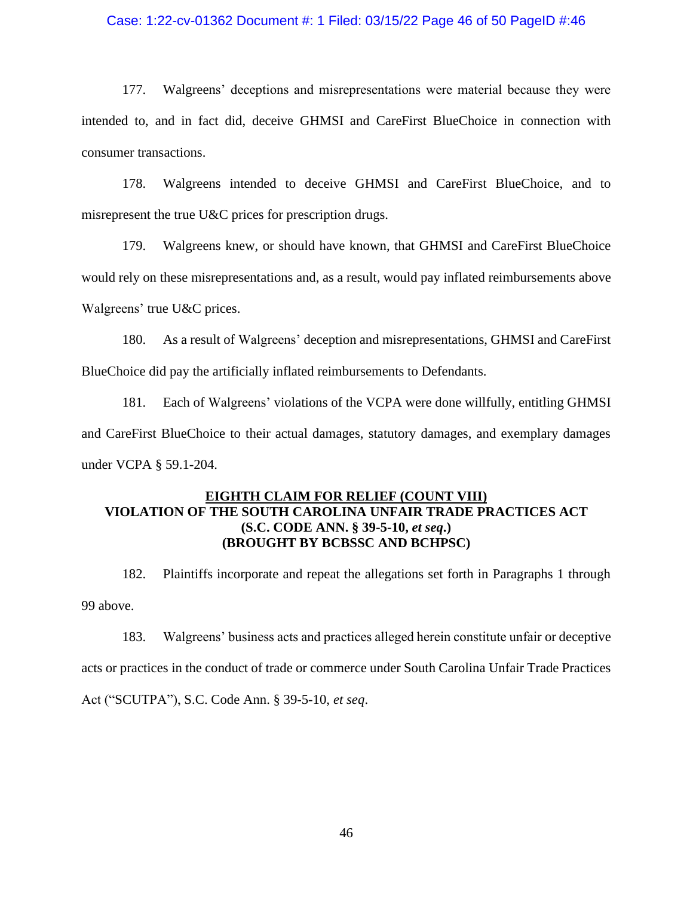### Case: 1:22-cv-01362 Document #: 1 Filed: 03/15/22 Page 46 of 50 PageID #:46

177. Walgreens' deceptions and misrepresentations were material because they were intended to, and in fact did, deceive GHMSI and CareFirst BlueChoice in connection with consumer transactions.

178. Walgreens intended to deceive GHMSI and CareFirst BlueChoice, and to misrepresent the true U&C prices for prescription drugs.

179. Walgreens knew, or should have known, that GHMSI and CareFirst BlueChoice would rely on these misrepresentations and, as a result, would pay inflated reimbursements above Walgreens' true U&C prices.

180. As a result of Walgreens' deception and misrepresentations, GHMSI and CareFirst BlueChoice did pay the artificially inflated reimbursements to Defendants.

181. Each of Walgreens' violations of the VCPA were done willfully, entitling GHMSI and CareFirst BlueChoice to their actual damages, statutory damages, and exemplary damages under VCPA § 59.1-204.

# **EIGHTH CLAIM FOR RELIEF (COUNT VIII) VIOLATION OF THE SOUTH CAROLINA UNFAIR TRADE PRACTICES ACT (S.C. CODE ANN. § 39-5-10,** *et seq***.) (BROUGHT BY BCBSSC AND BCHPSC)**

182. Plaintiffs incorporate and repeat the allegations set forth in Paragraphs 1 through 99 above.

183. Walgreens' business acts and practices alleged herein constitute unfair or deceptive acts or practices in the conduct of trade or commerce under South Carolina Unfair Trade Practices Act ("SCUTPA"), S.C. Code Ann. § 39-5-10, *et seq*.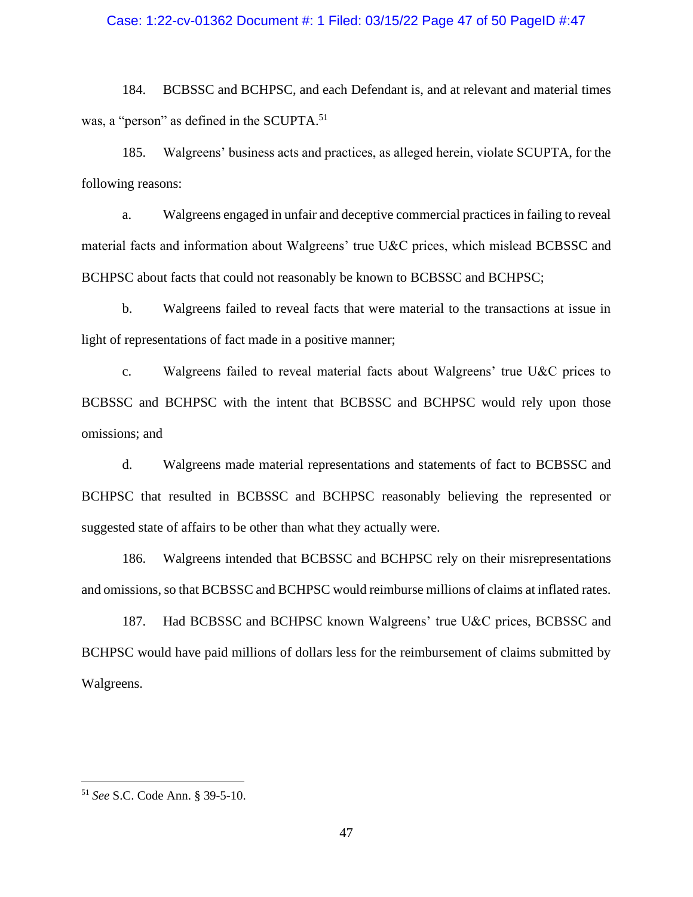### Case: 1:22-cv-01362 Document #: 1 Filed: 03/15/22 Page 47 of 50 PageID #:47

184. BCBSSC and BCHPSC, and each Defendant is, and at relevant and material times was, a "person" as defined in the SCUPTA.<sup>51</sup>

185. Walgreens' business acts and practices, as alleged herein, violate SCUPTA, for the following reasons:

a. Walgreens engaged in unfair and deceptive commercial practices in failing to reveal material facts and information about Walgreens' true U&C prices, which mislead BCBSSC and BCHPSC about facts that could not reasonably be known to BCBSSC and BCHPSC;

b. Walgreens failed to reveal facts that were material to the transactions at issue in light of representations of fact made in a positive manner;

c. Walgreens failed to reveal material facts about Walgreens' true U&C prices to BCBSSC and BCHPSC with the intent that BCBSSC and BCHPSC would rely upon those omissions; and

d. Walgreens made material representations and statements of fact to BCBSSC and BCHPSC that resulted in BCBSSC and BCHPSC reasonably believing the represented or suggested state of affairs to be other than what they actually were.

186. Walgreens intended that BCBSSC and BCHPSC rely on their misrepresentations and omissions, so that BCBSSC and BCHPSC would reimburse millions of claims at inflated rates.

187. Had BCBSSC and BCHPSC known Walgreens' true U&C prices, BCBSSC and BCHPSC would have paid millions of dollars less for the reimbursement of claims submitted by Walgreens.

<sup>51</sup> *See* S.C. Code Ann. § 39-5-10.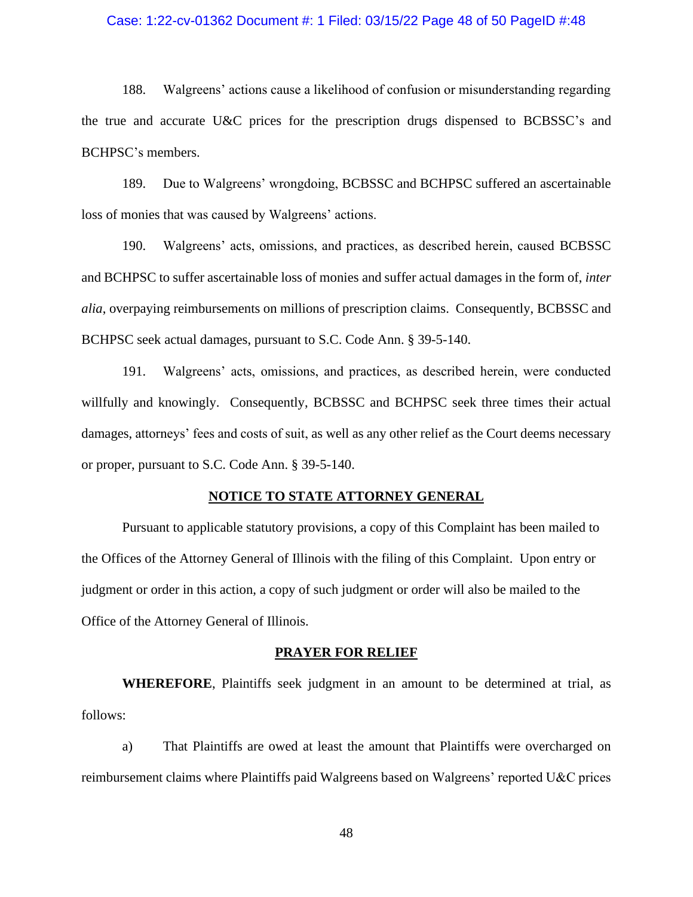### Case: 1:22-cv-01362 Document #: 1 Filed: 03/15/22 Page 48 of 50 PageID #:48

188. Walgreens' actions cause a likelihood of confusion or misunderstanding regarding the true and accurate U&C prices for the prescription drugs dispensed to BCBSSC's and BCHPSC's members.

189. Due to Walgreens' wrongdoing, BCBSSC and BCHPSC suffered an ascertainable loss of monies that was caused by Walgreens' actions.

190. Walgreens' acts, omissions, and practices, as described herein, caused BCBSSC and BCHPSC to suffer ascertainable loss of monies and suffer actual damages in the form of, *inter alia*, overpaying reimbursements on millions of prescription claims. Consequently, BCBSSC and BCHPSC seek actual damages, pursuant to S.C. Code Ann. § 39-5-140.

191. Walgreens' acts, omissions, and practices, as described herein, were conducted willfully and knowingly. Consequently, BCBSSC and BCHPSC seek three times their actual damages, attorneys' fees and costs of suit, as well as any other relief as the Court deems necessary or proper, pursuant to S.C. Code Ann. § 39-5-140.

#### **NOTICE TO STATE ATTORNEY GENERAL**

Pursuant to applicable statutory provisions, a copy of this Complaint has been mailed to the Offices of the Attorney General of Illinois with the filing of this Complaint. Upon entry or judgment or order in this action, a copy of such judgment or order will also be mailed to the Office of the Attorney General of Illinois.

#### **PRAYER FOR RELIEF**

**WHEREFORE**, Plaintiffs seek judgment in an amount to be determined at trial, as follows:

a) That Plaintiffs are owed at least the amount that Plaintiffs were overcharged on reimbursement claims where Plaintiffs paid Walgreens based on Walgreens' reported U&C prices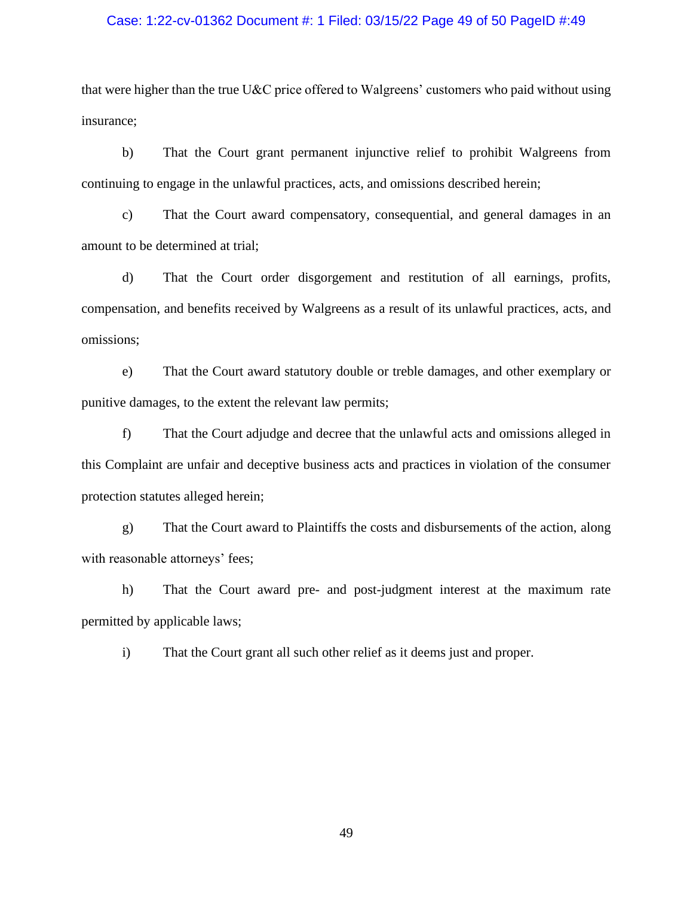### Case: 1:22-cv-01362 Document #: 1 Filed: 03/15/22 Page 49 of 50 PageID #:49

that were higher than the true U&C price offered to Walgreens' customers who paid without using insurance;

b) That the Court grant permanent injunctive relief to prohibit Walgreens from continuing to engage in the unlawful practices, acts, and omissions described herein;

c) That the Court award compensatory, consequential, and general damages in an amount to be determined at trial;

d) That the Court order disgorgement and restitution of all earnings, profits, compensation, and benefits received by Walgreens as a result of its unlawful practices, acts, and omissions;

e) That the Court award statutory double or treble damages, and other exemplary or punitive damages, to the extent the relevant law permits;

f) That the Court adjudge and decree that the unlawful acts and omissions alleged in this Complaint are unfair and deceptive business acts and practices in violation of the consumer protection statutes alleged herein;

g) That the Court award to Plaintiffs the costs and disbursements of the action, along with reasonable attorneys' fees;

h) That the Court award pre- and post-judgment interest at the maximum rate permitted by applicable laws;

i) That the Court grant all such other relief as it deems just and proper.